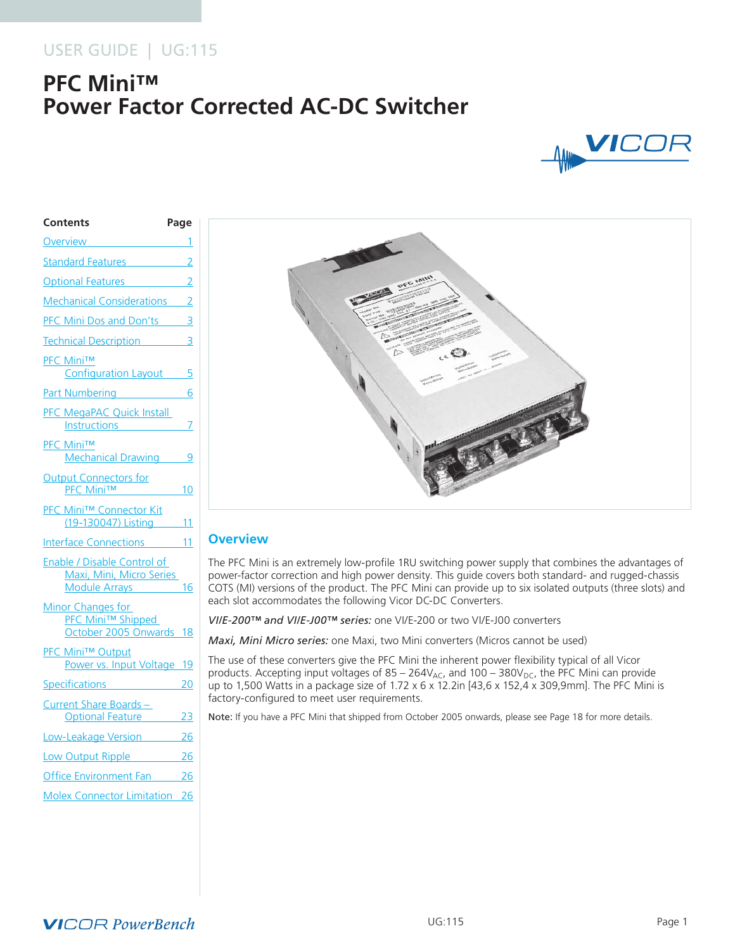# USER GUIDE | UG:115

# **PFC Mini™ Power Factor Corrected AC-DC Switcher**



| Contents                                                                 | Page |
|--------------------------------------------------------------------------|------|
| Overview                                                                 | 1    |
| <b>Standard Features</b>                                                 | 2    |
| Optional Features 2                                                      |      |
| Mechanical Considerations 2                                              |      |
| PFC Mini Dos and Don'ts 3                                                |      |
| <b>Technical Description</b>                                             | 3    |
| <b>PFC Mini™</b><br>Configuration Layout 5                               |      |
| Part Numbering 6                                                         |      |
| PFC MegaPAC Quick Install<br>Instructions                                | 7    |
| <b>PFC Mini™</b><br>Mechanical Drawing 9                                 |      |
| <b>Output Connectors for</b><br>PFC Mini™ 10                             |      |
| <b>PFC Mini™ Connector Kit</b><br>(19-130047) Listing 11                 |      |
| Interface Connections 11                                                 |      |
| Enable / Disable Control of<br>Maxi, Mini, Micro Series<br>Module Arrays | 16   |
| Minor Changes for<br><b>PFC Mini™ Shipped</b><br>October 2005 Onwards 18 |      |
| <b>PFC Mini™ Output</b><br>Power vs. Input Voltage 19                    |      |
| Specifications <b>Specifications</b>                                     | 20   |
| Current Share Boards-<br>Optional Feature 23                             |      |
| Low-Leakage Version 26                                                   |      |
| Low Output Ripple 26                                                     |      |
| Office Environment Fan 26                                                |      |
| <b>Molex Connector Limitation 26</b>                                     |      |
|                                                                          |      |



# **Overview**

The PFC Mini is an extremely low-profile 1RU switching power supply that combines the advantages of power-factor correction and high power density. This guide covers both standard- and rugged-chassis COTS (MI) versions of the product. The PFC Mini can provide up to six isolated outputs (three slots) and each slot accommodates the following Vicor DC-DC Converters.

*VI/E-200™ and VI/E-J00™ series:* one VI/E-200 or two VI/E-J00 converters

*Maxi, Mini Micro series:* one Maxi, two Mini converters (Micros cannot be used)

The use of these converters give the PFC Mini the inherent power flexibility typical of all Vicor products. Accepting input voltages of  $85 - 264V_{AC}$ , and  $100 - 380V_{DC}$ , the PFC Mini can provide up to 1,500 Watts in a package size of 1.72 x 6 x 12.2in [43,6 x 152,4 x 309,9mm]. The PFC Mini is factory-configured to meet user requirements.

Note: If you have a PFC Mini that shipped from October 2005 onwards, please see Page 18 for more details.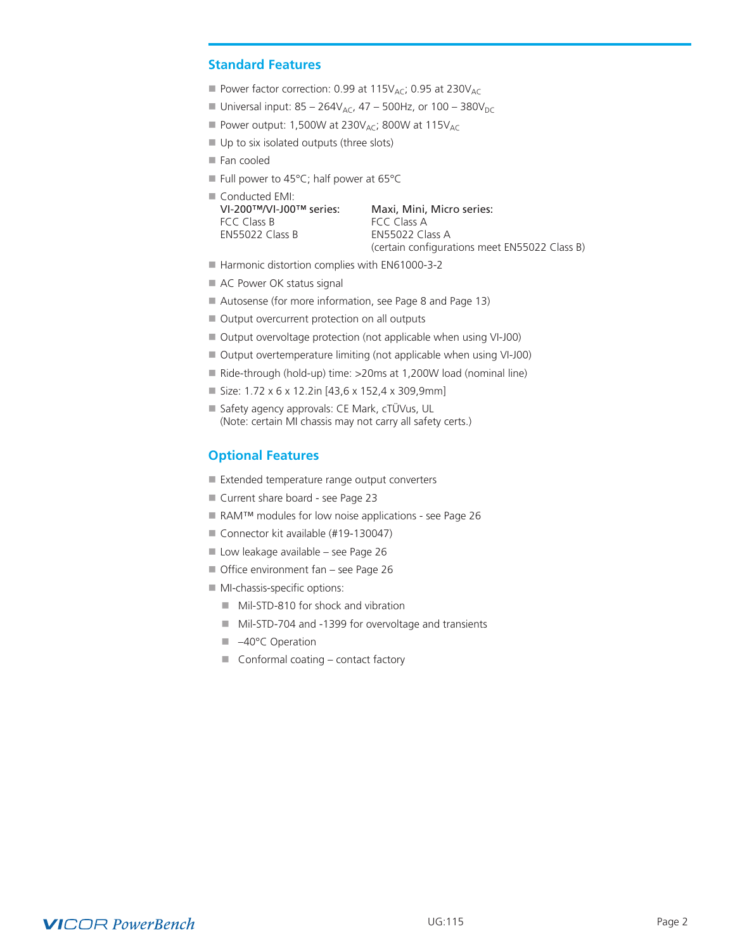# <span id="page-1-0"></span>**Standard Features**

- Power factor correction: 0.99 at 115 $V_{AC}$ ; 0.95 at 230 $V_{AC}$
- Universal input:  $85 264V_{AC}$ ,  $47 500Hz$ , or  $100 380V_{DC}$
- Power output: 1,500W at 230V<sub>AC</sub>; 800W at 115V<sub>AC</sub>
- $\blacksquare$  Up to six isolated outputs (three slots)
- $\blacksquare$  Fan cooled
- Full power to 45°C; half power at 65°C

| $\blacksquare$ Conducted EMI: |                                               |
|-------------------------------|-----------------------------------------------|
| VI-200™/VI-J00™ series:       | Maxi, Mini, Micro series:                     |
| FCC Class B                   | FCC Class A                                   |
| <b>FN55022 Class B</b>        | <b>FN55022 Class A</b>                        |
|                               | (certain configurations meet EN55022 Class B) |

- Harmonic distortion complies with EN61000-3-2
- AC Power OK status signal
- Autosense (for more information, see Page 8 and Page 13)
- Output overcurrent protection on all outputs
- Output overvoltage protection (not applicable when using VI-J00)
- Output overtemperature limiting (not applicable when using VI-J00)
- Ride-through (hold-up) time:  $>20$ ms at 1,200W load (nominal line)
- $\blacksquare$  Size: 1.72 x 6 x 12.2in [43,6 x 152,4 x 309,9mm]
- n Safety agency approvals: CE Mark, cTÜVus, UL (Note: certain MI chassis may not carry all safety certs.)

### **Optional Features**

- $\blacksquare$  Extended temperature range output converters
- Current share board see Page 23
- RAM™ modules for low noise applications see Page 26
- Connector kit available (#19-130047)
- Low leakage available see Page 26
- Office environment fan see Page 26
- $\blacksquare$  MI-chassis-specific options:
	- Mil-STD-810 for shock and vibration
	- Mil-STD-704 and -1399 for overvoltage and transients
	- –40°C Operation
	- $\blacksquare$  Conformal coating contact factory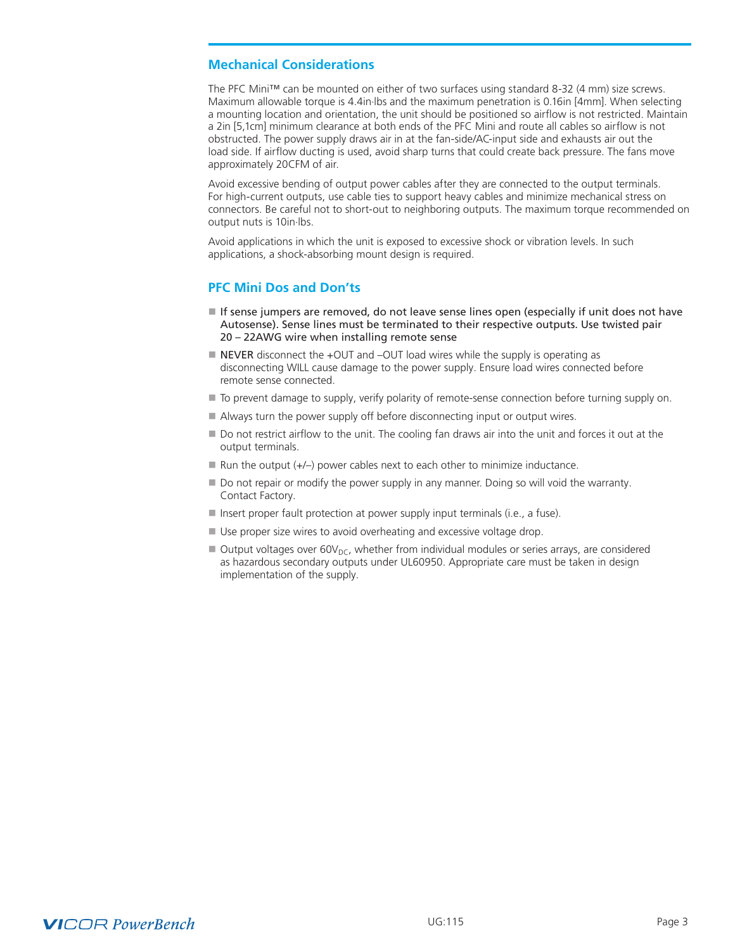# <span id="page-2-0"></span>**Mechanical Considerations**

The PFC Mini™ can be mounted on either of two surfaces using standard 8-32 (4 mm) size screws. Maximum allowable torque is 4.4in.lbs and the maximum penetration is 0.16in [4mm]. When selecting a mounting location and orientation, the unit should be positioned so airflow is not restricted. Maintain a 2in [5,1cm] minimum clearance at both ends of the PFC Mini and route all cables so airflow is not obstructed. The power supply draws air in at the fan-side/AC-input side and exhausts air out the load side. If airflow ducting is used, avoid sharp turns that could create back pressure. The fans move approximately 20CFM of air.

Avoid excessive bending of output power cables after they are connected to the output terminals. For high-current outputs, use cable ties to support heavy cables and minimize mechanical stress on connectors. Be careful not to short-out to neighboring outputs. The maximum torque recommended on output nuts is 10in.lbs.

Avoid applications in which the unit is exposed to excessive shock or vibration levels. In such applications, a shock-absorbing mount design is required.

# **PFC Mini Dos and Don'ts**

- $\blacksquare$  If sense jumpers are removed, do not leave sense lines open (especially if unit does not have Autosense). Sense lines must be terminated to their respective outputs. Use twisted pair 20 – 22AWG wire when installing remote sense
- $\blacksquare$  NEVER disconnect the +OUT and -OUT load wires while the supply is operating as disconnecting WILL cause damage to the power supply. Ensure load wires connected before remote sense connected.
- $\blacksquare$  To prevent damage to supply, verify polarity of remote-sense connection before turning supply on.
- Always turn the power supply off before disconnecting input or output wires.
- Do not restrict airflow to the unit. The cooling fan draws air into the unit and forces it out at the output terminals.
- $\blacksquare$  Run the output (+/-) power cables next to each other to minimize inductance.
- Do not repair or modify the power supply in any manner. Doing so will void the warranty. Contact Factory.
- $\blacksquare$  Insert proper fault protection at power supply input terminals (i.e., a fuse).
- Use proper size wires to avoid overheating and excessive voltage drop.
- $\blacksquare$  Output voltages over 60V<sub>DC</sub>, whether from individual modules or series arrays, are considered as hazardous secondary outputs under UL60950. Appropriate care must be taken in design implementation of the supply.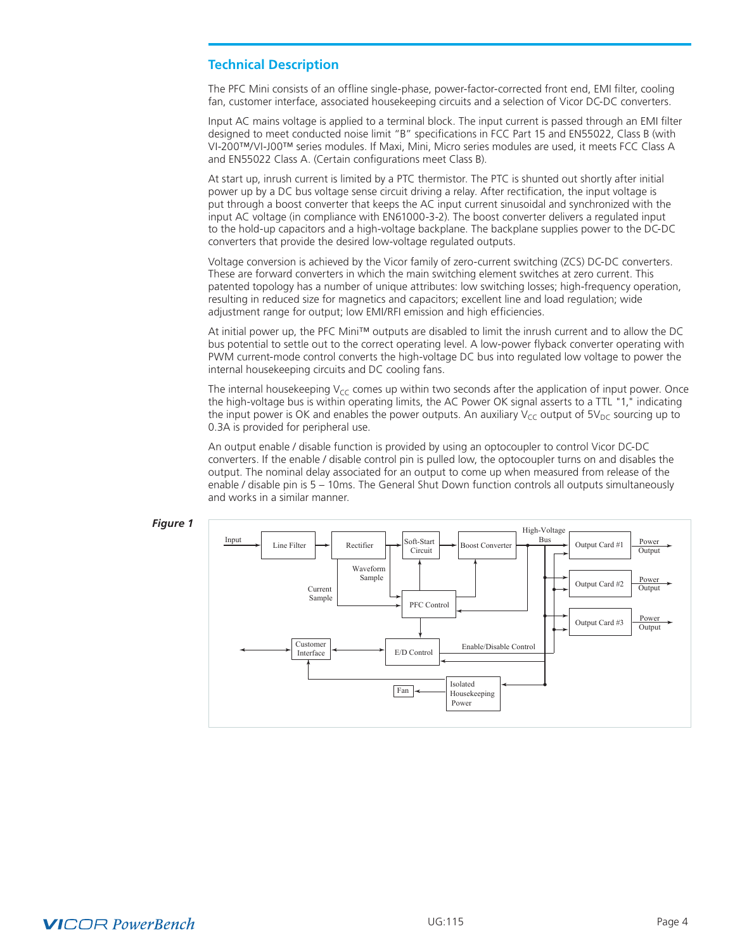# **Technical Description**

The PFC Mini consists of an offline single-phase, power-factor-corrected front end, EMI filter, cooling fan, customer interface, associated housekeeping circuits and a selection of Vicor DC-DC converters.

Input AC mains voltage is applied to a terminal block. The input current is passed through an EMI filter designed to meet conducted noise limit "B" specifications in FCC Part 15 and EN55022, Class B (with VI-200™/VI-J00™ series modules. If Maxi, Mini, Micro series modules are used, it meets FCC Class A and EN55022 Class A. (Certain configurations meet Class B).

At start up, inrush current is limited by a PTC thermistor. The PTC is shunted out shortly after initial power up by a DC bus voltage sense circuit driving a relay. After rectification, the input voltage is put through a boost converter that keeps the AC input current sinusoidal and synchronized with the input AC voltage (in compliance with EN61000-3-2). The boost converter delivers a regulated input to the hold-up capacitors and a high-voltage backplane. The backplane supplies power to the DC-DC converters that provide the desired low-voltage regulated outputs.

Voltage conversion is achieved by the Vicor family of zero-current switching (ZCS) DC-DC converters. These are forward converters in which the main switching element switches at zero current. This patented topology has a number of unique attributes: low switching losses; high-frequency operation, resulting in reduced size for magnetics and capacitors; excellent line and load regulation; wide adjustment range for output; low EMI/RFI emission and high efficiencies.

At initial power up, the PFC Mini™ outputs are disabled to limit the inrush current and to allow the DC bus potential to settle out to the correct operating level. A low-power flyback converter operating with PWM current-mode control converts the high-voltage DC bus into regulated low voltage to power the internal housekeeping circuits and DC cooling fans.

The internal housekeeping  $V_{CC}$  comes up within two seconds after the application of input power. Once the high-voltage bus is within operating limits, the AC Power OK signal asserts to a TTL "1," indicating the input power is OK and enables the power outputs. An auxiliary  $V_{CC}$  output of  $5V_{DC}$  sourcing up to 0.3A is provided for peripheral use.

An output enable / disable function is provided by using an optocoupler to control Vicor DC-DC converters. If the enable / disable control pin is pulled low, the optocoupler turns on and disables the output. The nominal delay associated for an output to come up when measured from release of the enable / disable pin is 5 – 10ms. The General Shut Down function controls all outputs simultaneously and works in a similar manner.



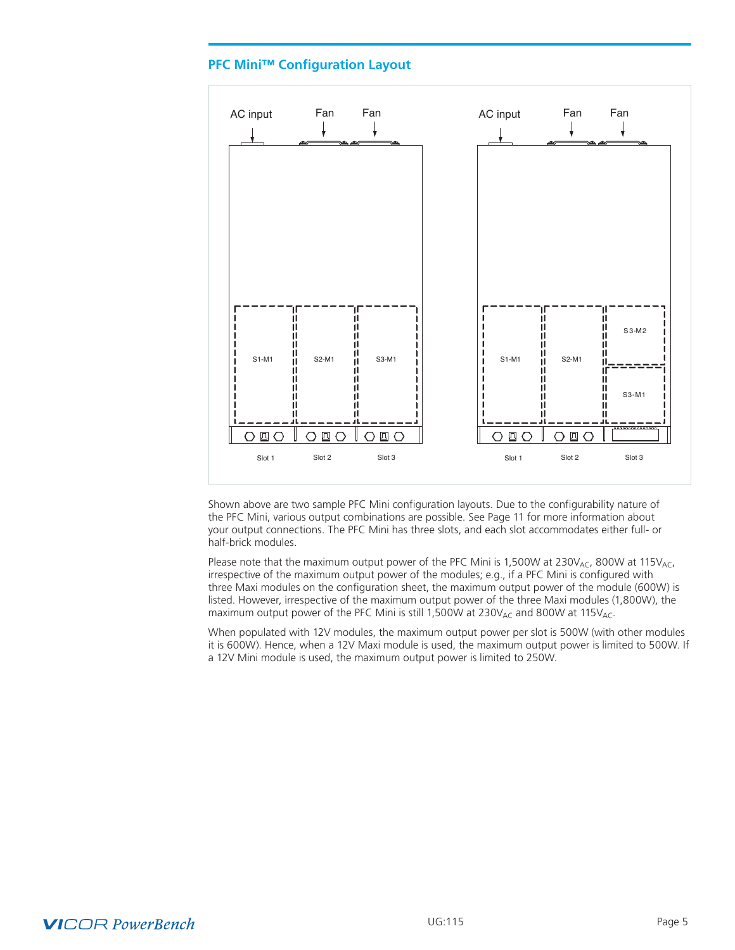# **PFC Mini™ Configuration Layout**

<span id="page-4-0"></span>

Shown above are two sample PFC Mini configuration layouts. Due to the configurability nature of the PFC Mini, various output combinations are possible. See Page 11 for more information about your output connections. The PFC Mini has three slots, and each slot accommodates either full- or half-brick modules.

Please note that the maximum output power of the PFC Mini is 1,500W at 230V<sub>AC</sub>, 800W at 115V<sub>AC</sub>, irrespective of the maximum output power of the modules; e.g., if a PFC Mini is configured with three Maxi modules on the configuration sheet, the maximum output power of the module (600W) is listed. However, irrespective of the maximum output power of the three Maxi modules (1,800W), the maximum output power of the PFC Mini is still 1,500W at 230 $V_{AC}$  and 800W at 115 $V_{AC}$ .

When populated with 12V modules, the maximum output power per slot is 500W (with other modules it is 600W). Hence, when a 12V Maxi module is used, the maximum output power is limited to 500W. If a 12V Mini module is used, the maximum output power is limited to 250W.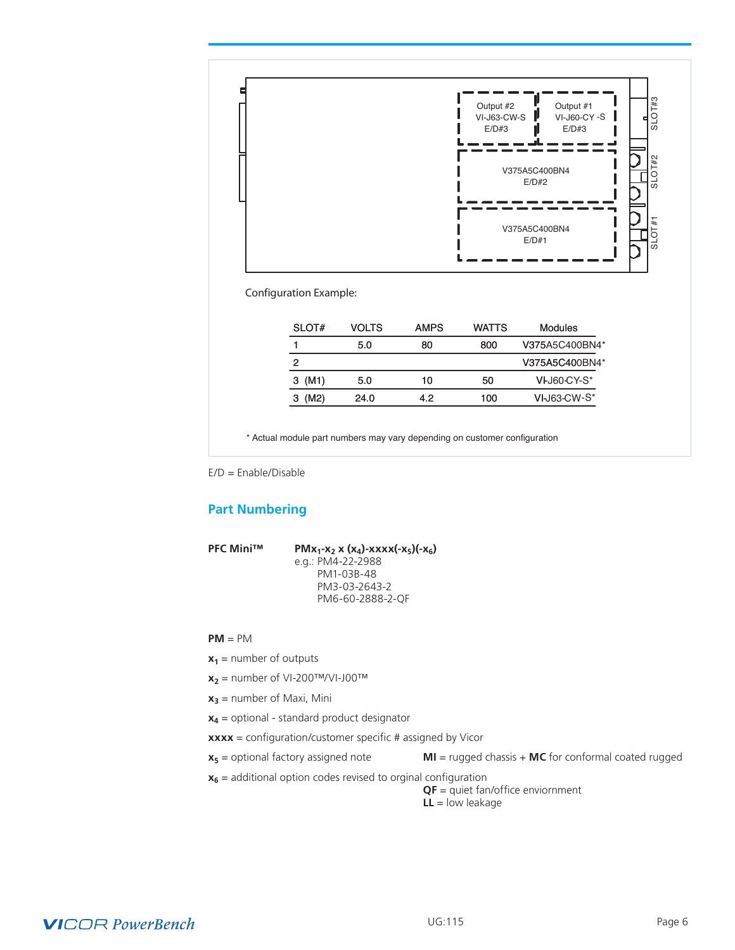<span id="page-5-0"></span>

Configuration Example:

| SLOT#  | <b>VOLTS</b> | <b>AMPS</b> | <b>WATTS</b> | Modules        |
|--------|--------------|-------------|--------------|----------------|
|        | 5.0          | 80          | 800          | V375A5C400BN4* |
| 2      |              |             |              | V375A5C400BN4* |
| 3 (M1) | 5.0          | 10          | 50           | VI-J60-CY-S*   |
| 3 (M2) | 24.0         | 4.2         | 100          | VI-J63-CW-S*   |

\* Actual module part numbers may vary depending on customer configuration

E/D = Enable/Disable

# **Part Numbering**

**PFC Mini™ PMx<sub>1</sub>-x<sub>2</sub> x (x<sub>4</sub>)-xxxx(-x<sub>5</sub>)(-x<sub>6</sub>)**  e.g.: PM4-22-2988 PM1-03B-48 PM3-03-2643-2 PM6-60-2888-2-QF

#### **PM** = PM

- $x_1$  = number of outputs
- $x_2$  = number of VI-200TM/VI-J00TM
- $x_3$  = number of Maxi, Mini
- **x4** = optional standard product designator
- **xxxx** = configuration/customer specific # assigned by Vicor
- 

**x5** = optional factory assigned note **MI** = rugged chassis + **MC** for conformal coated rugged

 $x_6$  = additional option codes revised to orginal configuration

**QF** = quiet fan/office enviornment **LL** = low leakage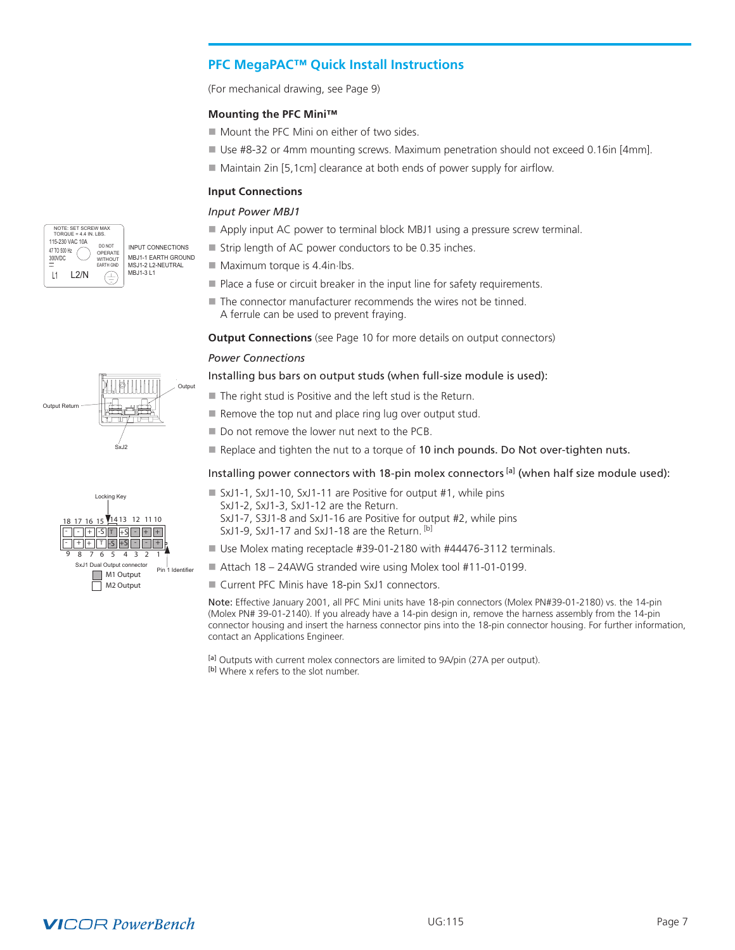# <span id="page-6-0"></span>**PFC MegaPAC™ Quick Install Instructions**

(For mechanical drawing, see Page 9)

# **Mounting the PFC Mini™**

- $\blacksquare$  Mount the PFC Mini on either of two sides.
- Use #8-32 or 4mm mounting screws. Maximum penetration should not exceed 0.16in [4mm].
- $\blacksquare$  Maintain 2in [5,1cm] clearance at both ends of power supply for airflow.

# **Input Connections**

# *Input Power MBJ1*

- Apply input AC power to terminal block MBJ1 using a pressure screw terminal.
- $\blacksquare$  Strip length of AC power conductors to be 0.35 inches.
- $\blacksquare$  Maximum torque is 4.4in $\blacksquare$
- $\blacksquare$  Place a fuse or circuit breaker in the input line for safety requirements.
- $\blacksquare$  The connector manufacturer recommends the wires not be tinned. A ferrule can be used to prevent fraying.

**Output Connections** (see Page 10 for more details on output connectors)

#### *Power Connections*

#### Installing bus bars on output studs (when full-size module is used):

- $\blacksquare$  The right stud is Positive and the left stud is the Return.
- $\blacksquare$  Remove the top nut and place ring lug over output stud.
- $\blacksquare$  Do not remove the lower nut next to the PCB.
- Replace and tighten the nut to a torque of 10 inch pounds. Do Not over-tighten nuts.

#### Installing power connectors with 18-pin molex connectors  $[<sup>a</sup>]$  (when half size module used):

- SxJ1-1, SxJ1-10, SxJ1-11 are Positive for output #1, while pins SxJ1-2, SxJ1-3, SxJ1-12 are the Return.
	- SxJ1-7, S3J1-8 and SxJ1-16 are Positive for output #2, while pins
	- SxJ1-9, SxJ1-17 and SxJ1-18 are the Return. [b]
- Use Molex mating receptacle #39-01-2180 with #44476-3112 terminals.
- Attach 18 24AWG stranded wire using Molex tool #11-01-0199.
- Current PFC Minis have 18-pin SxJ1 connectors.

Note: Effective January 2001, all PFC Mini units have 18-pin connectors (Molex PN#39-01-2180) vs. the 14-pin (Molex PN# 39-01-2140). If you already have a 14-pin design in, remove the harness assembly from the 14-pin connector housing and insert the harness connector pins into the 18-pin connector housing. For further information, contact an Applications Engineer.

[a] Outputs with current molex connectors are limited to 9A/pin (27A per output). [b] Where x refers to the slot number.





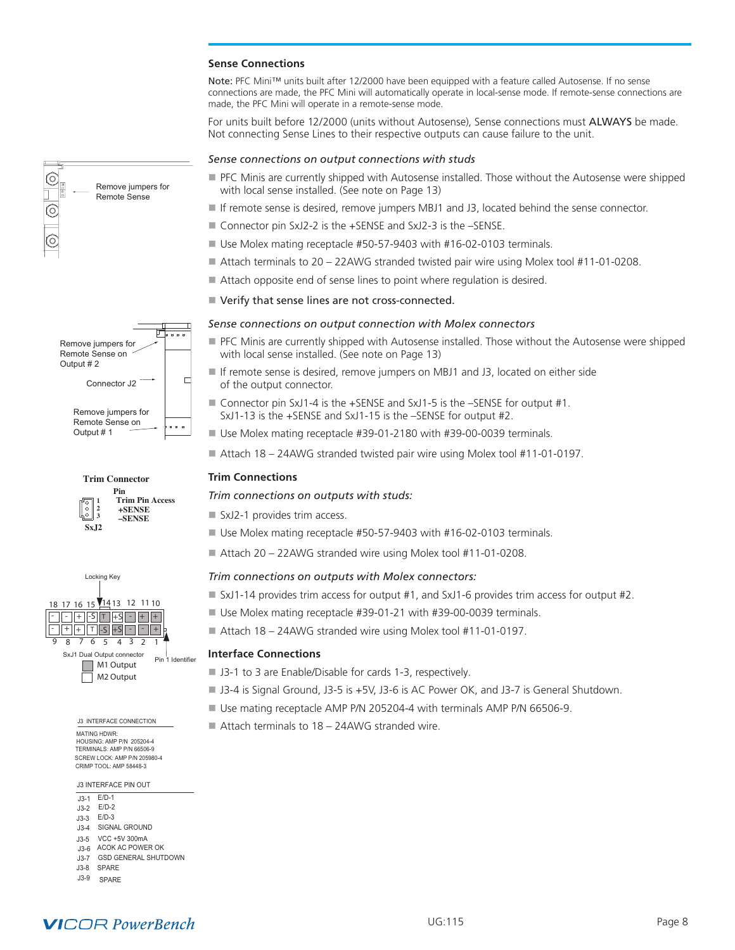#### **Sense Connections**

Note: PFC Mini™ units built after 12/2000 have been equipped with a feature called Autosense. If no sense connections are made, the PFC Mini will automatically operate in local-sense mode. If remote-sense connections are made, the PFC Mini will operate in a remote-sense mode.

For units built before 12/2000 (units without Autosense), Sense connections must ALWAYS be made. Not connecting Sense Lines to their respective outputs can cause failure to the unit.

#### *Sense connections on output connections with studs*

- **PFC Minis are currently shipped with Autosense installed. Those without the Autosense were shipped** with local sense installed. (See note on Page 13)
- If remote sense is desired, remove jumpers MBJ1 and J3, located behind the sense connector.
- Connector pin SxJ2-2 is the +SENSE and SxJ2-3 is the –SENSE.
- $\blacksquare$  Use Molex mating receptacle #50-57-9403 with #16-02-0103 terminals.
- Attach terminals to 20 22AWG stranded twisted pair wire using Molex tool #11-01-0208.
- Attach opposite end of sense lines to point where regulation is desired.
- Verify that sense lines are not cross-connected.

#### *Sense connections on output connection with Molex connectors*

- **PFC Minis are currently shipped with Autosense installed. Those without the Autosense were shipped** with local sense installed. (See note on Page 13)
- If remote sense is desired, remove jumpers on MBJ1 and J3, located on either side of the output connector.
- Connector pin SxJ1-4 is the +SENSE and SxJ1-5 is the -SENSE for output #1. SxJ1-13 is the +SENSE and SxJ1-15 is the –SENSE for output #2.
- Use Molex mating receptacle #39-01-2180 with #39-00-0039 terminals.
- Attach 18 24AWG stranded twisted pair wire using Molex tool #11-01-0197.

#### **Trim Connections**

#### *Trim connections on outputs with studs:*

- $\blacksquare$  SxJ2-1 provides trim access.
- Use Molex mating receptacle #50-57-9403 with #16-02-0103 terminals.
- Attach 20 22AWG stranded wire using Molex tool #11-01-0208.

#### *Trim connections on outputs with Molex connectors:*

- SxJ1-14 provides trim access for output #1, and SxJ1-6 provides trim access for output #2.
- Use Molex mating receptacle #39-01-21 with #39-00-0039 terminals.
- $\blacksquare$  Attach 18 24AWG stranded wire using Molex tool #11-01-0197.

#### **Interface Connections**

- J3-1 to 3 are Enable/Disable for cards 1-3, respectively.
- J3-4 is Signal Ground, J3-5 is +5V, J3-6 is AC Power OK, and J3-7 is General Shutdown.
- Use mating receptacle AMP P/N 205204-4 with terminals AMP P/N 66506-9.
- $\blacksquare$  Attach terminals to 18 24AWG stranded wire.



SxJ1 Dual Output connector  $+$   $+$   $+$   $+$   $+$  $\lceil - \rceil + \lceil - S \rceil + \lceil + S \rceil - \lceil + \rceil +$ 

9 8 7 6 5 4 3 2 1

18 17 16 15 14 13 12 11 10

Locking Key

Remove jumpers for Remote Sense

Remove jumpers for Remote Sense on Output # 1

**Trim Connector**

**Pin**

**Trim Pin Access +SENSE –SENSE**

戸

 $\Box$ 

. . .

**1 2 3**

**SxJ2**

္စံ

Connector J2

Remove jumpers for Remote Sense on Output # 2

 $\frac{\textcircled{\tiny{}}}{\text{}}$ 

 $\overline{\widehat{\odot}}$ 

#### MATING HDWR: HOUSING: AMP P/N 205204-4 SCREW LOCK: AMP P/N 205980-4 TERMINALS: AMP P/N 66506-9 CRIMP TOOL: AMP 58448-3

J3 INTERFACE PIN OUT

J3-1 J3-2 E/D-2 J3-3 E/D-3 E/D-1

- J3-4 SIGNAL GROUND
- J3-5 VCC +5V 300mA
- J3-6 ACOK AC POWER OK
- J3-7 GSD GENERAL SHUTDOWN J3-8 SPARE
- J3-9 SPARE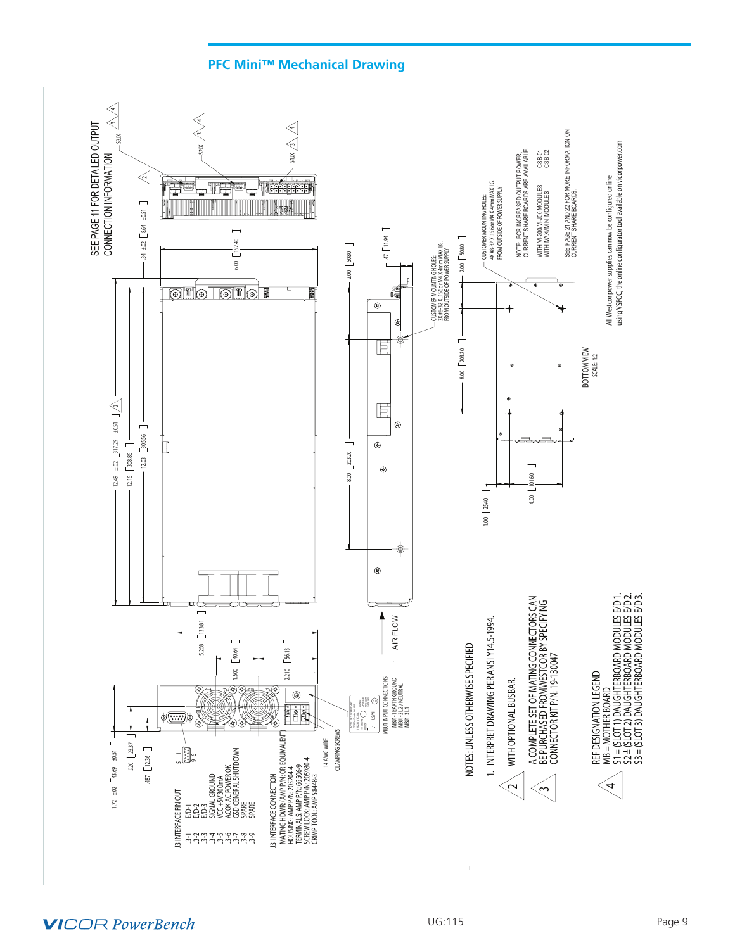<span id="page-8-0"></span>

# **PFC Mini™ Mechanical Drawing**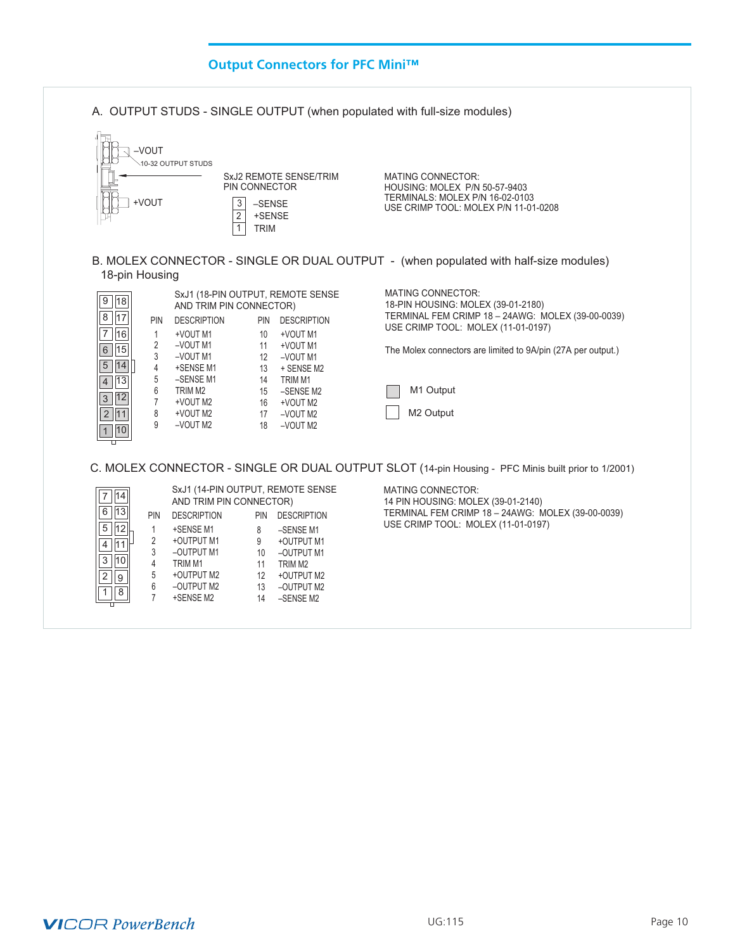<span id="page-9-0"></span>

# **VICOR PowerBench**

2

 $1$  8

9

 6 –OUTPUT M2 7 +SENSE M2

 12 +OUTPUT M2 13 –OUTPUT M2 14 –SENSE M2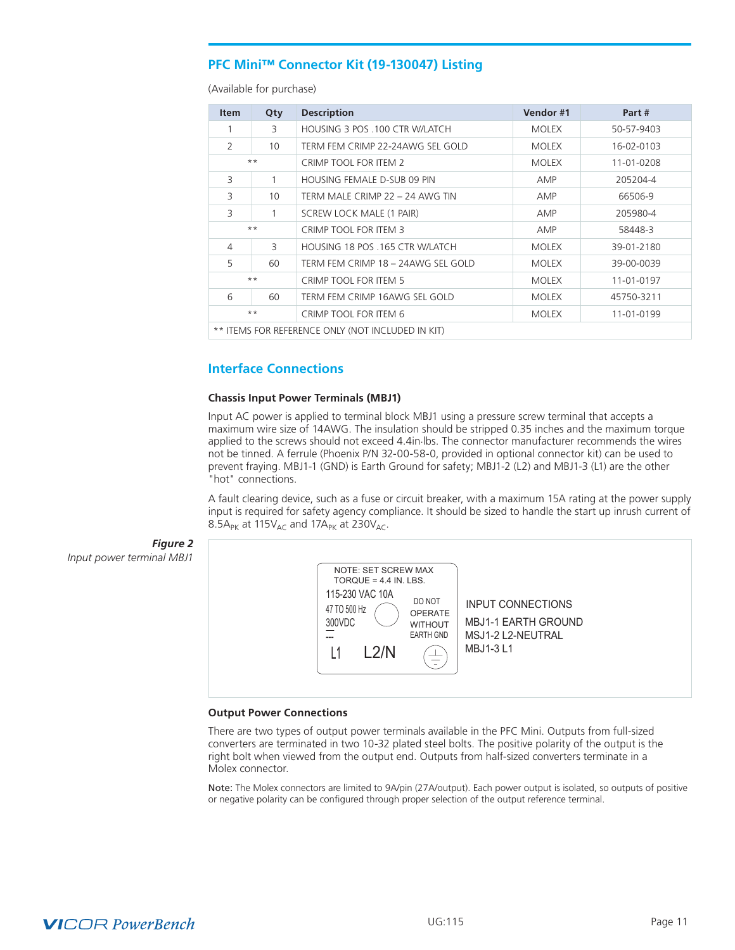# <span id="page-10-0"></span>**PFC Mini™ Connector Kit (19-130047) Listing**

(Available for purchase)

| <b>Item</b>                                            | Qty   | <b>Description</b>                    | Vendor #1    | Part #     |  |
|--------------------------------------------------------|-------|---------------------------------------|--------------|------------|--|
| 1                                                      | 3     | HOUSING 3 POS .100 CTR W/LATCH        | <b>MOLEX</b> | 50-57-9403 |  |
| 2                                                      | 10    | TERM FEM CRIMP 22-24AWG SEL GOLD      | <b>MOLEX</b> | 16-02-0103 |  |
|                                                        | $***$ | CRIMP TOOL FOR ITEM 2                 | <b>MOLEX</b> | 11-01-0208 |  |
| 3                                                      |       | HOUSING FEMALE D-SUB 09 PIN           | AMP          | 205204-4   |  |
| 3                                                      | 10    | TERM MALE CRIMP 22 – 24 AWG TIN       | AMP          | 66506-9    |  |
| 3<br>SCREW LOCK MALE (1 PAIR)                          |       | AMP                                   | 205980-4     |            |  |
| $***$                                                  |       | CRIMP TOOL FOR ITEM 3                 | AMP          | 58448-3    |  |
| $\overline{4}$<br>3<br>HOUSING 18 POS .165 CTR W/LATCH |       |                                       | <b>MOLEX</b> | 39-01-2180 |  |
| 5                                                      | 60    | TERM FEM CRIMP 18 - 24AWG SEL GOLD    | <b>MOLEX</b> | 39-00-0039 |  |
| $***$                                                  |       | CRIMP TOOL FOR ITEM 5                 | <b>MOLEX</b> | 11-01-0197 |  |
| 6<br>60<br>TERM FEM CRIMP 16AWG SEL GOLD               |       | <b>MOLEX</b>                          | 45750-3211   |            |  |
| $***$                                                  |       | CRIMP TOOL FOR ITEM 6<br><b>MOLEX</b> |              | 11-01-0199 |  |
| ** ITEMS FOR REFERENCE ONLY (NOT INCLUDED IN KIT)      |       |                                       |              |            |  |

# **Interface Connections**

#### **Chassis Input Power Terminals (MBJ1)**

Input AC power is applied to terminal block MBJ1 using a pressure screw terminal that accepts a maximum wire size of 14AWG. The insulation should be stripped 0.35 inches and the maximum torque applied to the screws should not exceed 4.4in.lbs. The connector manufacturer recommends the wires not be tinned. A ferrule (Phoenix P/N 32-00-58-0, provided in optional connector kit) can be used to prevent fraying. MBJ1-1 (GND) is Earth Ground for safety; MBJ1-2 (L2) and MBJ1-3 (L1) are the other "hot" connections.

A fault clearing device, such as a fuse or circuit breaker, with a maximum 15A rating at the power supply input is required for safety agency compliance. It should be sized to handle the start up inrush current of 8.5A<sub>PK</sub> at 115 $V_{AC}$  and 17A<sub>PK</sub> at 230 $V_{AC}$ .



#### **Output Power Connections**

There are two types of output power terminals available in the PFC Mini. Outputs from full-sized converters are terminated in two 10-32 plated steel bolts. The positive polarity of the output is the right bolt when viewed from the output end. Outputs from half-sized converters terminate in a Molex connector.

Note: The Molex connectors are limited to 9A/pin (27A/output). Each power output is isolated, so outputs of positive or negative polarity can be configured through proper selection of the output reference terminal.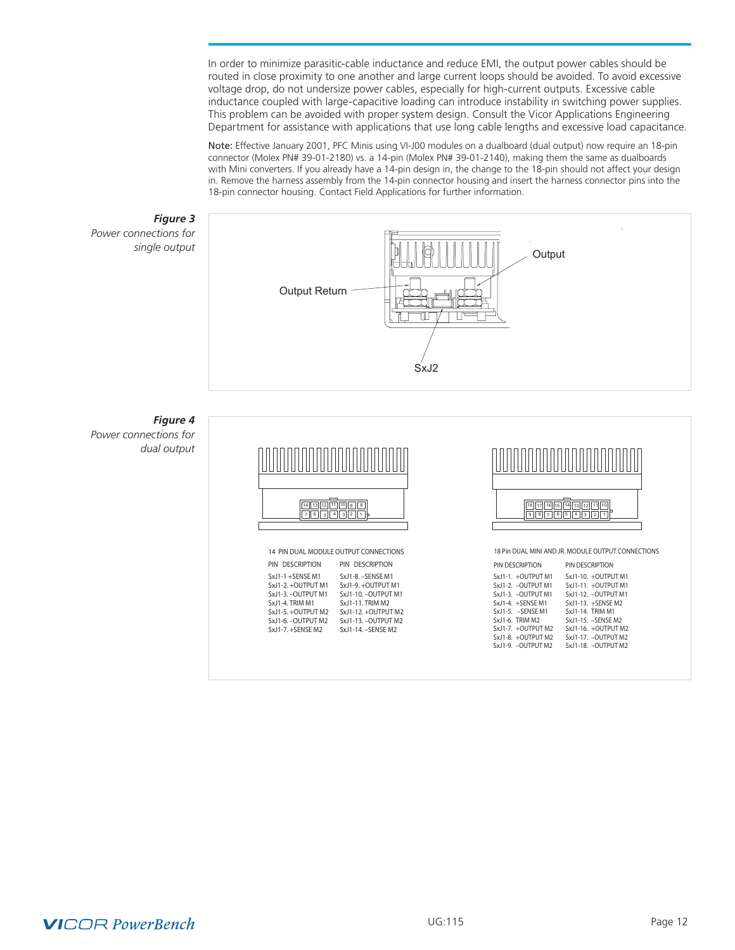In order to minimize parasitic-cable inductance and reduce EMI, the output power cables should be routed in close proximity to one another and large current loops should be avoided. To avoid excessive voltage drop, do not undersize power cables, especially for high-current outputs. Excessive cable inductance coupled with large-capacitive loading can introduce instability in switching power supplies. This problem can be avoided with proper system design. Consult the Vicor Applications Engineering Department for assistance with applications that use long cable lengths and excessive load capacitance.

Note: Effective January 2001, PFC Minis using VI-J00 modules on a dualboard (dual output) now require an 18-pin connector (Molex PN# 39-01-2180) vs. a 14-pin (Molex PN# 39-01-2140), making them the same as dualboards with Mini converters. If you already have a 14-pin design in, the change to the 18-pin should not affect your design in. Remove the harness assembly from the 14-pin connector housing and insert the harness connector pins into the 18-pin connector housing. Contact Field Applications for further information.

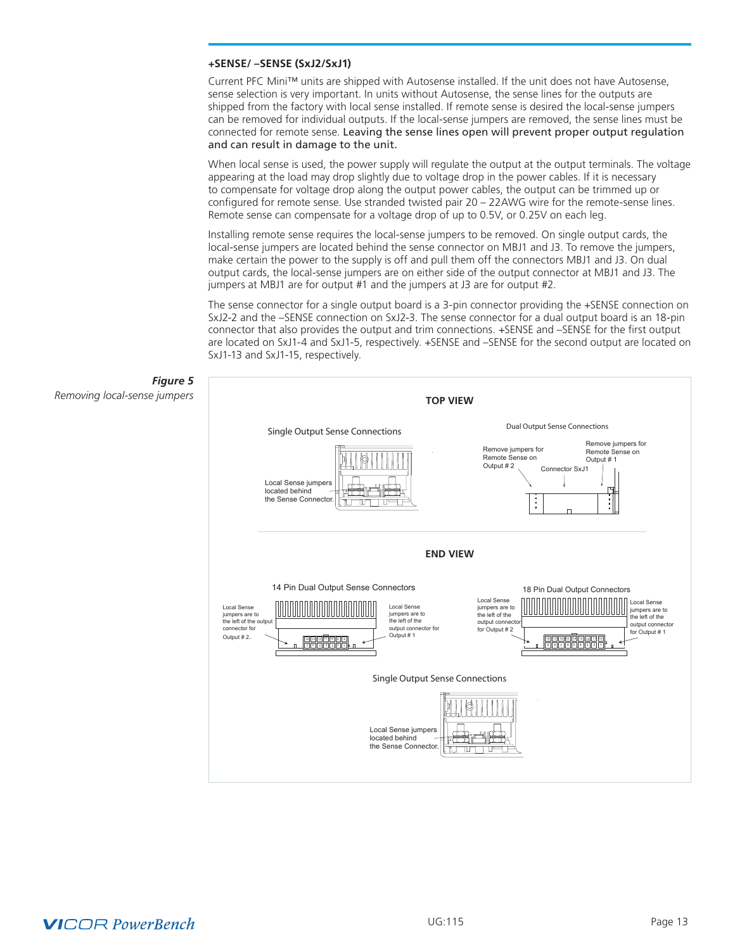#### **+SENSE/ –SENSE (SxJ2/SxJ1)**

Current PFC Mini™ units are shipped with Autosense installed. If the unit does not have Autosense, sense selection is very important. In units without Autosense, the sense lines for the outputs are shipped from the factory with local sense installed. If remote sense is desired the local-sense jumpers can be removed for individual outputs. If the local-sense jumpers are removed, the sense lines must be connected for remote sense. Leaving the sense lines open will prevent proper output regulation and can result in damage to the unit.

When local sense is used, the power supply will regulate the output at the output terminals. The voltage appearing at the load may drop slightly due to voltage drop in the power cables. If it is necessary to compensate for voltage drop along the output power cables, the output can be trimmed up or configured for remote sense. Use stranded twisted pair 20 – 22AWG wire for the remote-sense lines. Remote sense can compensate for a voltage drop of up to 0.5V, or 0.25V on each leg.

Installing remote sense requires the local-sense jumpers to be removed. On single output cards, the local-sense jumpers are located behind the sense connector on MBJ1 and J3. To remove the jumpers, make certain the power to the supply is off and pull them off the connectors MBJ1 and J3. On dual output cards, the local-sense jumpers are on either side of the output connector at MBJ1 and J3. The jumpers at MBJ1 are for output #1 and the jumpers at J3 are for output #2.

The sense connector for a single output board is a 3-pin connector providing the +SENSE connection on SxJ2-2 and the –SENSE connection on SxJ2-3. The sense connector for a dual output board is an 18-pin connector that also provides the output and trim connections. +SENSE and –SENSE for the first output are located on SxJ1-4 and SxJ1-5, respectively. +SENSE and –SENSE for the second output are located on SxJ1-13 and SxJ1-15, respectively.

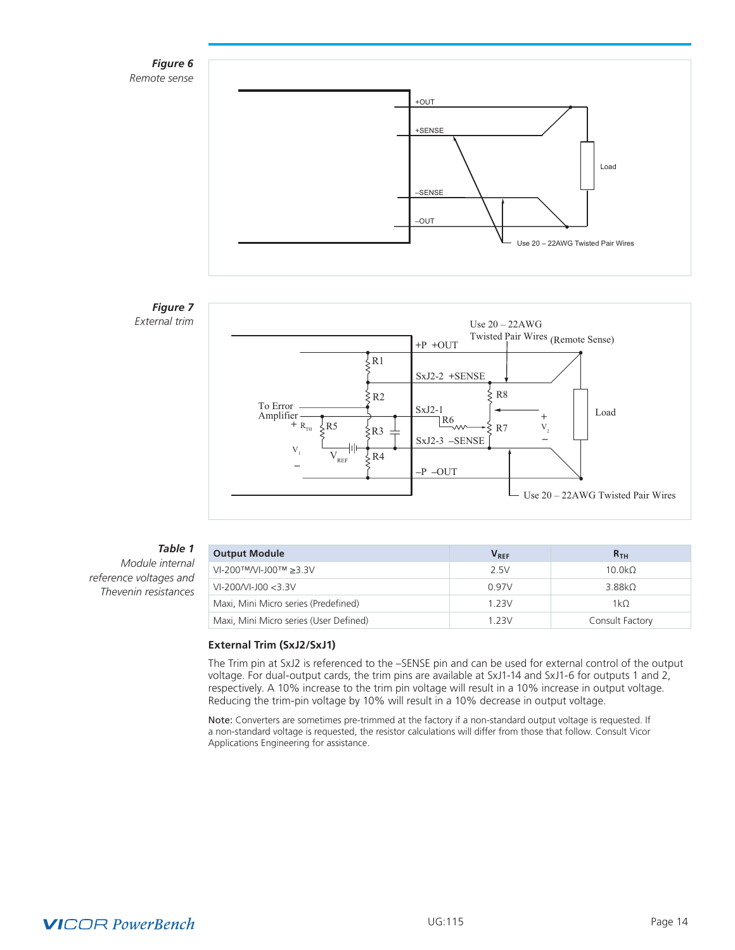

# *Figure 7 External trim*



# *Table 1*

*Module internal reference voltages and Thevenin resistances*

| <b>Output Module</b>                   | $V_{RFF}$ | R <sub>TH</sub>    |
|----------------------------------------|-----------|--------------------|
| $V1-200$ ™/VI-J00™ ≥3.3V               | 2.5V      | 10.0k <sub>Q</sub> |
| $VI-200/VI-100 < 3.3 V$                | 0.97V     | 3.88k <sub>0</sub> |
| Maxi, Mini Micro series (Predefined)   | 1 2 3 V   | $1k\Omega$         |
| Maxi, Mini Micro series (User Defined) | 1 2 3 V   | Consult Factory    |

# **External Trim (SxJ2/SxJ1)**

The Trim pin at SxJ2 is referenced to the –SENSE pin and can be used for external control of the output voltage. For dual-output cards, the trim pins are available at SxJ1-14 and SxJ1-6 for outputs 1 and 2, respectively. A 10% increase to the trim pin voltage will result in a 10% increase in output voltage. Reducing the trim-pin voltage by 10% will result in a 10% decrease in output voltage.

Note: Converters are sometimes pre-trimmed at the factory if a non-standard output voltage is requested. If a non-standard voltage is requested, the resistor calculations will differ from those that follow. Consult Vicor Applications Engineering for assistance.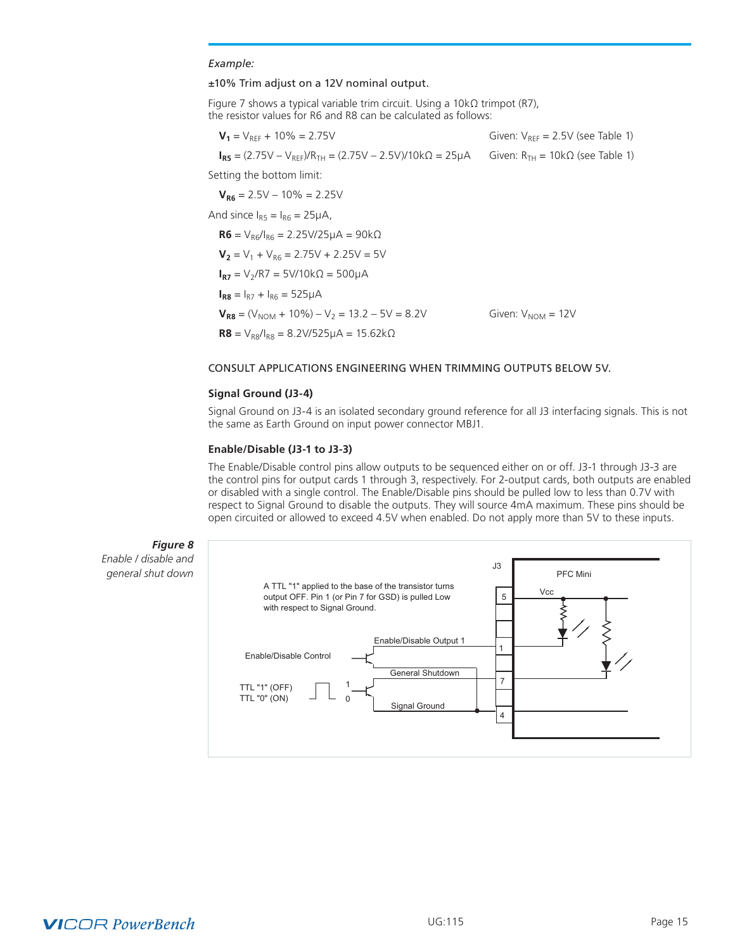#### *Example:*

#### ±10% Trim adjust on a 12V nominal output.

Figure 7 shows a typical variable trim circuit. Using a 10kΩ trimpot (R7), the resistor values for R6 and R8 can be calculated as follows:

| $V_1 = V_{REF} + 10\% = 2.75V$                                                           | Given: $V_{\text{BFE}} = 2.5V$ (see Table 1) |
|------------------------------------------------------------------------------------------|----------------------------------------------|
| $I_{BS} = (2.75V - V_{BFE})/R_{TH} = (2.75V - 2.5V)/10k\Omega = 25\mu A$                 | Given: $R_{TH} = 10k\Omega$ (see Table 1)    |
| Setting the bottom limit:                                                                |                                              |
| $V_{BB} = 2.5V - 10\% = 2.25V$                                                           |                                              |
| And since $I_{BS} = I_{BS} = 25 \mu A$ ,                                                 |                                              |
| $R6 = V_{B6}/I_{B6} = 2.25 \text{V}/25 \mu\text{A} = 90 \text{k}\Omega$                  |                                              |
| $V_2 = V_1 + V_{BS} = 2.75V + 2.25V = 5V$                                                |                                              |
| $I_{B2} = V_2/RT = 5V/10k\Omega = 500\mu A$                                              |                                              |
| $I_{\text{RB}} = I_{\text{B7}} + I_{\text{BB}} = 525 \mu \text{A}$                       |                                              |
| $V_{BB} = (V_{NOM} + 10\%) - V_2 = 13.2 - 5V = 8.2V$                                     | Given: $V_{NOM} = 12V$                       |
| $R8 = V_{\text{R}8}/I_{\text{R}8} = 8.2 \text{V}/525 \mu\text{A} = 15.62 \text{k}\Omega$ |                                              |

# CONSULT APPLICATIONS ENGINEERING WHEN TRIMMING OUTPUTS BELOW 5V.

#### **Signal Ground (J3-4)**

Signal Ground on J3-4 is an isolated secondary ground reference for all J3 interfacing signals. This is not the same as Earth Ground on input power connector MBJ1.

#### **Enable/Disable (J3-1 to J3-3)**

The Enable/Disable control pins allow outputs to be sequenced either on or off. J3-1 through J3-3 are the control pins for output cards 1 through 3, respectively. For 2-output cards, both outputs are enabled or disabled with a single control. The Enable/Disable pins should be pulled low to less than 0.7V with respect to Signal Ground to disable the outputs. They will source 4mA maximum. These pins should be open circuited or allowed to exceed 4.5V when enabled. Do not apply more than 5V to these inputs.



# *Figure 8*

*Enable / disable and general shut down*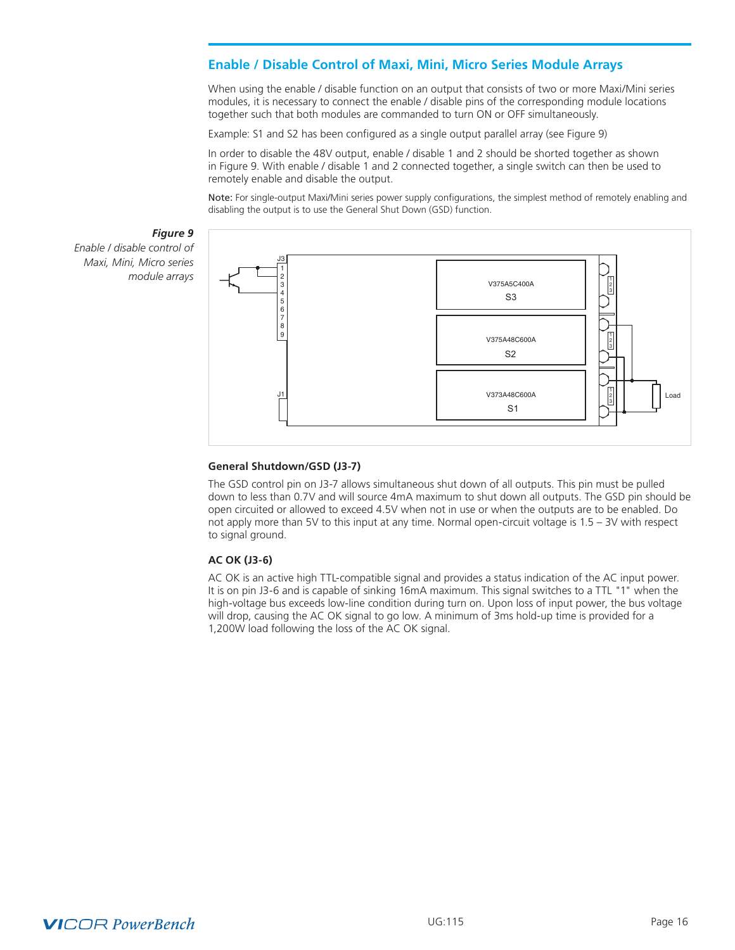# <span id="page-15-0"></span>**Enable / Disable Control of Maxi, Mini, Micro Series Module Arrays**

When using the enable / disable function on an output that consists of two or more Maxi/Mini series modules, it is necessary to connect the enable / disable pins of the corresponding module locations together such that both modules are commanded to turn ON or OFF simultaneously.

Example: S1 and S2 has been configured as a single output parallel array (see Figure 9)

In order to disable the 48V output, enable / disable 1 and 2 should be shorted together as shown in Figure 9. With enable / disable 1 and 2 connected together, a single switch can then be used to remotely enable and disable the output.

Note: For single-output Maxi/Mini series power supply configurations, the simplest method of remotely enabling and disabling the output is to use the General Shut Down (GSD) function.

*Figure 9 Enable / disable control of Maxi, Mini, Micro series module arrays*



#### **General Shutdown/GSD (J3-7)**

The GSD control pin on J3-7 allows simultaneous shut down of all outputs. This pin must be pulled down to less than 0.7V and will source 4mA maximum to shut down all outputs. The GSD pin should be open circuited or allowed to exceed 4.5V when not in use or when the outputs are to be enabled. Do not apply more than 5V to this input at any time. Normal open-circuit voltage is 1.5 – 3V with respect to signal ground.

#### **AC OK (J3-6)**

AC OK is an active high TTL-compatible signal and provides a status indication of the AC input power. It is on pin J3-6 and is capable of sinking 16mA maximum. This signal switches to a TTL "1" when the high-voltage bus exceeds low-line condition during turn on. Upon loss of input power, the bus voltage will drop, causing the AC OK signal to go low. A minimum of 3ms hold-up time is provided for a 1,200W load following the loss of the AC OK signal.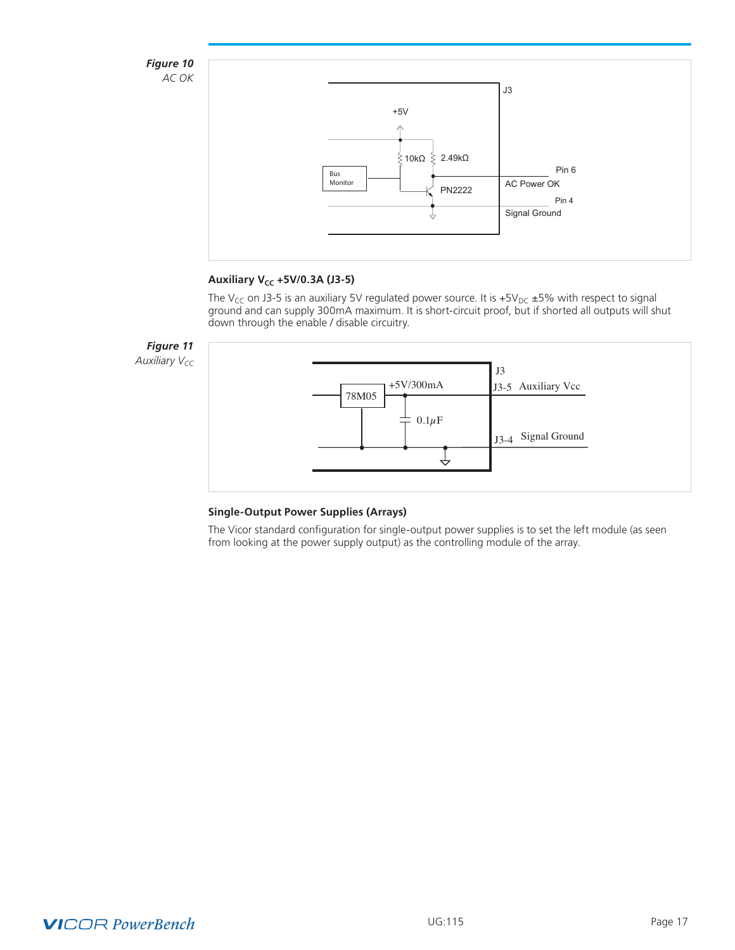

# **Auxiliary V<sub>cc</sub> +5V/0.3A (J3-5)**

The V<sub>CC</sub> on J3-5 is an auxiliary 5V regulated power source. It is +5V<sub>DC</sub> ±5% with respect to signal ground and can supply 300mA maximum. It is short-circuit proof, but if shorted all outputs will shut down through the enable / disable circuitry.



# **Single-Output Power Supplies (Arrays)**

The Vicor standard configuration for single-output power supplies is to set the left module (as seen from looking at the power supply output) as the controlling module of the array.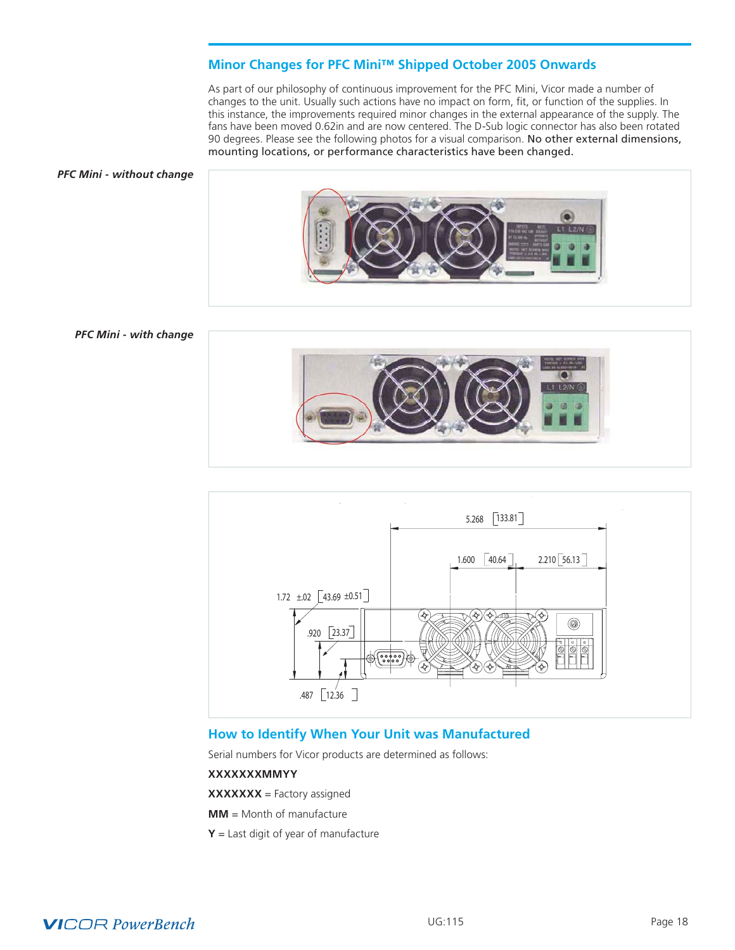# **Minor Changes for PFC Mini™ Shipped October 2005 Onwards**

As part of our philosophy of continuous improvement for the PFC Mini, Vicor made a number of changes to the unit. Usually such actions have no impact on form, fit, or function of the supplies. In this instance, the improvements required minor changes in the external appearance of the supply. The fans have been moved 0.62in and are now centered. The D-Sub logic connector has also been rotated 90 degrees. Please see the following photos for a visual comparison. No other external dimensions, mounting locations, or performance characteristics have been changed.

#### <span id="page-17-0"></span>*PFC Mini - without change*



#### *PFC Mini - with change*





# **How to Identify When Your Unit was Manufactured**

Serial numbers for Vicor products are determined as follows:

### **XXXXXXXMMYY**

**XXXXXXX** = Factory assigned

**MM** = Month of manufacture

**Y** = Last digit of year of manufacture

# **VICOR PowerBench**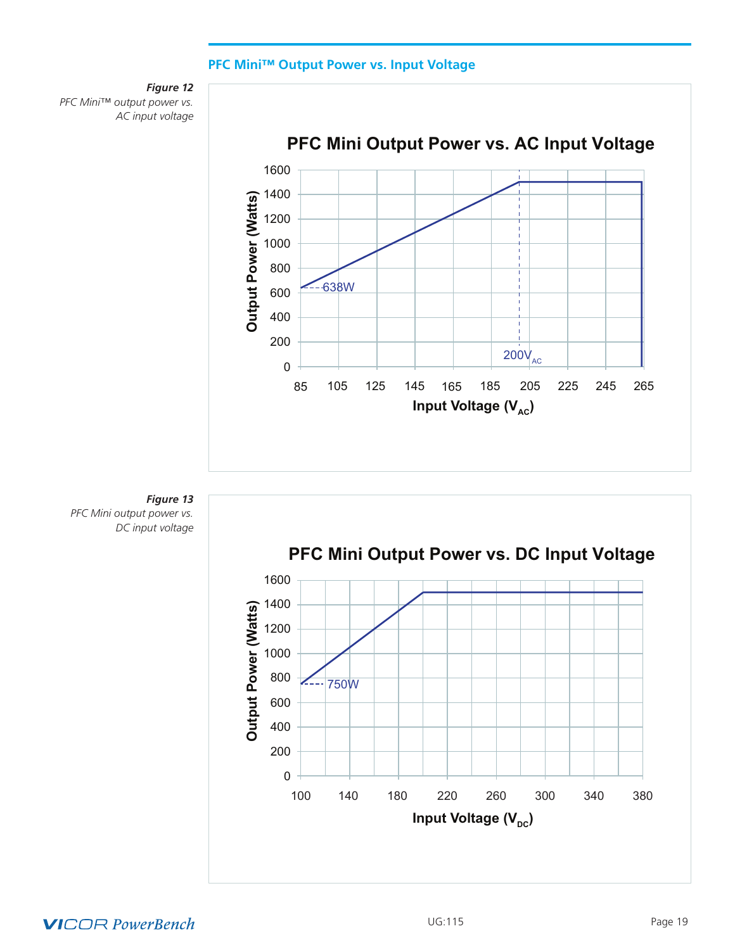# **PFC Mini™ Output Power vs. Input Voltage**

<span id="page-18-0"></span>







# **VICOR PowerBench**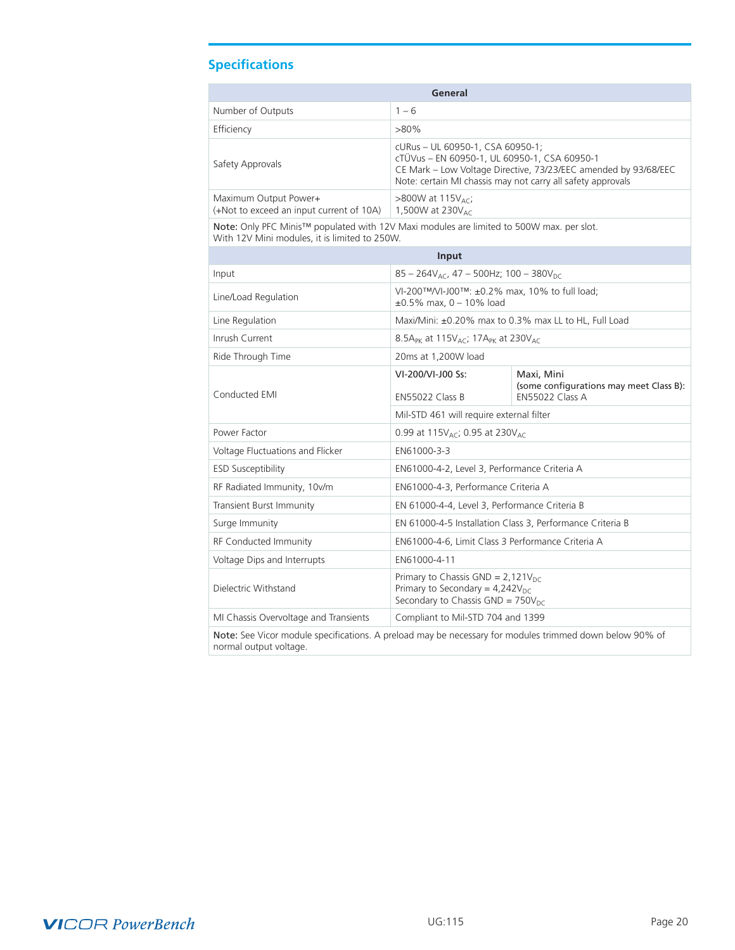# <span id="page-19-0"></span>**Specifications**

| General                                                           |                                                                                                                                                                                                                    |  |  |  |
|-------------------------------------------------------------------|--------------------------------------------------------------------------------------------------------------------------------------------------------------------------------------------------------------------|--|--|--|
| Number of Outputs                                                 | $1 - 6$                                                                                                                                                                                                            |  |  |  |
| Efficiency                                                        | $>80\%$                                                                                                                                                                                                            |  |  |  |
| Safety Approvals                                                  | cURus - UL 60950-1, CSA 60950-1;<br>cTÜVus - EN 60950-1, UL 60950-1, CSA 60950-1<br>CE Mark - Low Voltage Directive, 73/23/EEC amended by 93/68/EEC<br>Note: certain MI chassis may not carry all safety approvals |  |  |  |
| Maximum Output Power+<br>(+Not to exceed an input current of 10A) | $>800W$ at 115V <sub>AC</sub> ;<br>1,500W at 230 $V_{AC}$                                                                                                                                                          |  |  |  |

Note: Only PFC Minis™ populated with 12V Maxi modules are limited to 500W max. per slot. With 12V Mini modules, it is limited to 250W.

|                                                                                                         | Input                                                                                                                           |                                                                                 |  |  |
|---------------------------------------------------------------------------------------------------------|---------------------------------------------------------------------------------------------------------------------------------|---------------------------------------------------------------------------------|--|--|
| Input                                                                                                   | $85 - 264V_{AC}$ , 47 - 500Hz; 100 - 380V <sub>DC</sub>                                                                         |                                                                                 |  |  |
| Line/Load Regulation                                                                                    | VI-200™/VI-J00™: ±0.2% max, 10% to full load;<br>$\pm 0.5\%$ max, 0 - 10% load                                                  |                                                                                 |  |  |
| Line Regulation                                                                                         | Maxi/Mini: ±0.20% max to 0.3% max LL to HL, Full Load                                                                           |                                                                                 |  |  |
| Inrush Current                                                                                          | 8.5A <sub>PK</sub> at 115V <sub>AC</sub> ; 17A <sub>PK</sub> at 230V <sub>AC</sub>                                              |                                                                                 |  |  |
| Ride Through Time                                                                                       | 20ms at 1,200W load                                                                                                             |                                                                                 |  |  |
| Conducted EMI                                                                                           | VI-200/VI-J00 Ss:<br>EN55022 Class B                                                                                            | Maxi, Mini<br>(some configurations may meet Class B):<br><b>EN55022 Class A</b> |  |  |
|                                                                                                         | Mil-STD 461 will require external filter                                                                                        |                                                                                 |  |  |
| Power Factor                                                                                            | 0.99 at 115 $V_{AC}$ ; 0.95 at 230 $V_{AC}$                                                                                     |                                                                                 |  |  |
| Voltage Fluctuations and Flicker                                                                        | EN61000-3-3                                                                                                                     |                                                                                 |  |  |
| <b>ESD Susceptibility</b>                                                                               | EN61000-4-2, Level 3, Performance Criteria A                                                                                    |                                                                                 |  |  |
| RF Radiated Immunity, 10v/m                                                                             | EN61000-4-3, Performance Criteria A                                                                                             |                                                                                 |  |  |
| <b>Transient Burst Immunity</b>                                                                         | EN 61000-4-4, Level 3, Performance Criteria B                                                                                   |                                                                                 |  |  |
| Surge Immunity                                                                                          | EN 61000-4-5 Installation Class 3, Performance Criteria B                                                                       |                                                                                 |  |  |
| <b>RF Conducted Immunity</b>                                                                            | EN61000-4-6, Limit Class 3 Performance Criteria A                                                                               |                                                                                 |  |  |
| Voltage Dips and Interrupts                                                                             | EN61000-4-11                                                                                                                    |                                                                                 |  |  |
| Dielectric Withstand                                                                                    | Primary to Chassis GND = $2,121V_{DC}$<br>Primary to Secondary = $4,242V_{\text{nc}}$<br>Secondary to Chassis GND = $750V_{nc}$ |                                                                                 |  |  |
| MI Chassis Overvoltage and Transients<br>Compliant to Mil-STD 704 and 1399                              |                                                                                                                                 |                                                                                 |  |  |
| Note: See Vicor module specifications. A preload may be necessary for modules trimmed down below 90% of |                                                                                                                                 |                                                                                 |  |  |

Note: See Vicor module specifications. A preload may be necessary for modules trimmed down below 90% of normal output voltage.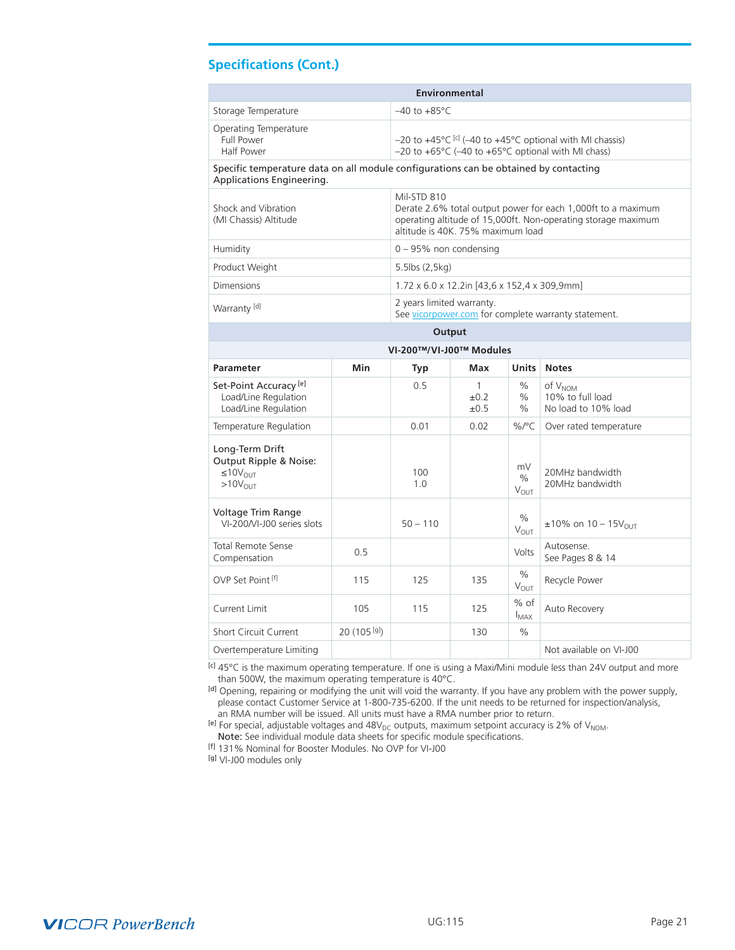# **Specifications (Cont.)**

| <b>Environmental</b>                                                                                              |                          |                                                                                                                                                                                   |                                              |                         |                                                         |  |  |
|-------------------------------------------------------------------------------------------------------------------|--------------------------|-----------------------------------------------------------------------------------------------------------------------------------------------------------------------------------|----------------------------------------------|-------------------------|---------------------------------------------------------|--|--|
| Storage Temperature                                                                                               | $-40$ to $+85^{\circ}$ C |                                                                                                                                                                                   |                                              |                         |                                                         |  |  |
| Operating Temperature<br><b>Full Power</b><br>Half Power                                                          |                          | $-20$ to $+45^{\circ}$ C <sup>[c]</sup> (-40 to $+45^{\circ}$ C optional with MI chassis)<br>-20 to +65°C (-40 to +65°C optional with MI chass)                                   |                                              |                         |                                                         |  |  |
| Specific temperature data on all module configurations can be obtained by contacting<br>Applications Engineering. |                          |                                                                                                                                                                                   |                                              |                         |                                                         |  |  |
| Shock and Vibration<br>(MI Chassis) Altitude                                                                      |                          | Mil-STD 810<br>Derate 2.6% total output power for each 1,000ft to a maximum<br>operating altitude of 15,000ft. Non-operating storage maximum<br>altitude is 40K. 75% maximum load |                                              |                         |                                                         |  |  |
| Humidity                                                                                                          |                          | $0 - 95%$ non condensing                                                                                                                                                          |                                              |                         |                                                         |  |  |
| Product Weight                                                                                                    |                          | $5.5$ lbs $(2, 5kg)$                                                                                                                                                              |                                              |                         |                                                         |  |  |
| Dimensions                                                                                                        |                          |                                                                                                                                                                                   | 1.72 x 6.0 x 12.2in [43,6 x 152,4 x 309,9mm] |                         |                                                         |  |  |
| Warranty <sup>[d]</sup>                                                                                           |                          | 2 years limited warranty.                                                                                                                                                         |                                              |                         | See vicorpower.com for complete warranty statement.     |  |  |
| Output                                                                                                            |                          |                                                                                                                                                                                   |                                              |                         |                                                         |  |  |
| VI-200™/VI-J00™ Modules                                                                                           |                          |                                                                                                                                                                                   |                                              |                         |                                                         |  |  |
| <b>Parameter</b>                                                                                                  | Min                      | Typ                                                                                                                                                                               | Max                                          | <b>Units</b>            | <b>Notes</b>                                            |  |  |
| Set-Point Accuracy <sup>[e]</sup><br>Load/Line Regulation<br>Load/Line Regulation                                 |                          | 0.5                                                                                                                                                                               | $\mathbf{1}$<br>$\pm 0.2$<br>$\pm 0.5$       | $\%$<br>$\%$<br>$\%$    | of $V_{NOM}$<br>10% to full load<br>No load to 10% load |  |  |
| Temperature Regulation                                                                                            |                          | 0.01                                                                                                                                                                              | 0.02                                         | $\%$ /°C                | Over rated temperature                                  |  |  |
| Long-Term Drift<br>Output Ripple & Noise:<br>$≤10V$ <sub>ΩΙ ΙΤ</sub><br>$>10V$ <sub>OUT</sub>                     |                          | 100<br>1.0                                                                                                                                                                        |                                              | mV<br>$\%$<br>$V_{OUT}$ | 20MHz bandwidth<br>20MHz bandwidth                      |  |  |
| Voltage Trim Range<br>VI-200/VI-J00 series slots                                                                  |                          | $50 - 110$                                                                                                                                                                        |                                              | $\%$<br>$V_{OUT}$       | $±10\%$ on 10 – 15V <sub>OUT</sub>                      |  |  |
| <b>Total Remote Sense</b><br>Compensation                                                                         | 0.5                      |                                                                                                                                                                                   |                                              | Volts                   | Autosense.<br>See Pages 8 & 14                          |  |  |
| OVP Set Point [f]                                                                                                 | 115                      | 125                                                                                                                                                                               | 135                                          | %<br>$V_{OUT}$          | Recycle Power                                           |  |  |
| Current Limit                                                                                                     | 105                      | 115                                                                                                                                                                               | 125                                          | $%$ of<br>$I_{MAX}$     | Auto Recovery                                           |  |  |
| <b>Short Circuit Current</b>                                                                                      | 20 (105 [g])             |                                                                                                                                                                                   | 130                                          | $\%$                    |                                                         |  |  |
| Overtemperature Limiting                                                                                          |                          |                                                                                                                                                                                   |                                              |                         | Not available on VI-J00                                 |  |  |

[c] 45°C is the maximum operating temperature. If one is using a Maxi/Mini module less than 24V output and more than 500W, the maximum operating temperature is 40°C.

[d] Opening, repairing or modifying the unit will void the warranty. If you have any problem with the power supply, please contact Customer Service at 1-800-735-6200. If the unit needs to be returned for inspection/analysis, an RMA number will be issued. All units must have a RMA number prior to return.

[e] For special, adjustable voltages and  $48V_{DC}$  outputs, maximum setpoint accuracy is 2% of  $V_{NOM}$ .

Note: See individual module data sheets for specific module specifications.

[f] 131% Nominal for Booster Modules. No OVP for VI-J00

[g] VI-J00 modules only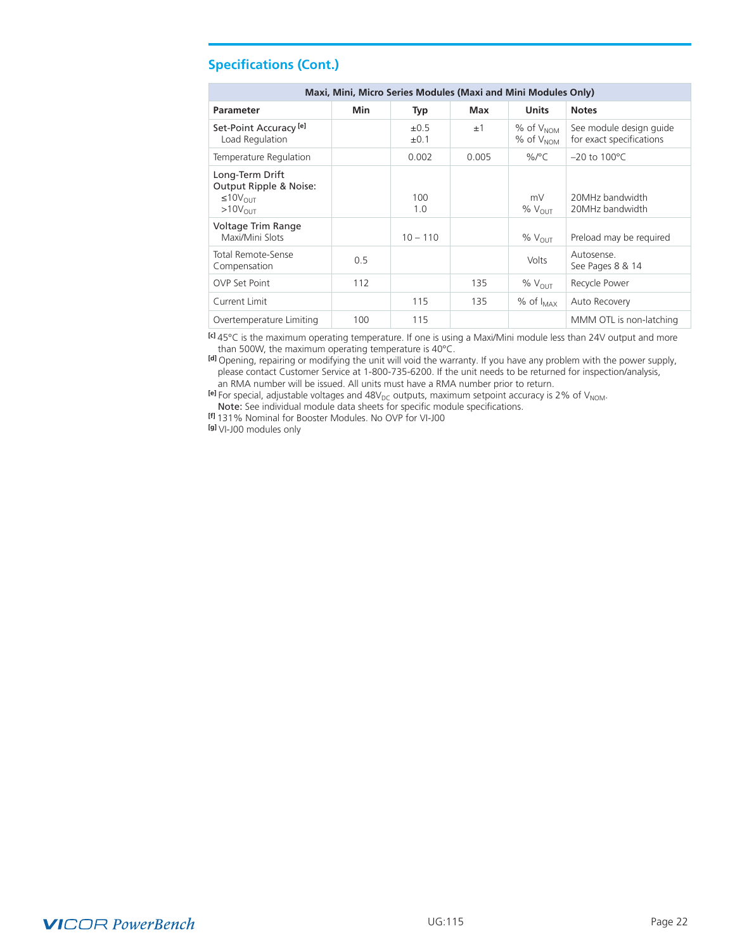| <b>Specifications (Cont.)</b> |  |
|-------------------------------|--|
|-------------------------------|--|

| Maxi, Mini, Micro Series Modules (Maxi and Mini Modules Only)                        |     |                        |       |                                      |                                                     |  |
|--------------------------------------------------------------------------------------|-----|------------------------|-------|--------------------------------------|-----------------------------------------------------|--|
| <b>Parameter</b>                                                                     | Min | Typ                    | Max   | <b>Units</b>                         | <b>Notes</b>                                        |  |
| Set-Point Accuracy <sup>[e]</sup><br>Load Regulation                                 |     | $\pm 0.5$<br>$\pm 0.1$ | ±1    | $%$ of $V_{NOM}$<br>$%$ of $V_{NOM}$ | See module design guide<br>for exact specifications |  |
| Temperature Regulation                                                               |     | 0.002                  | 0.005 | %/°C                                 | $-20$ to $100^{\circ}$ C                            |  |
| Long-Term Drift<br>Output Ripple & Noise:<br>$\leq 10V_{\text{OUT}}$<br>$>10V_{OUT}$ |     | 100<br>1.0             |       | mV<br>$%$ $V_{OUT}$                  | 20MHz bandwidth<br>20MHz bandwidth                  |  |
| Voltage Trim Range<br>Maxi/Mini Slots                                                |     | $10 - 110$             |       | % $V_{\text{OUT}}$                   | Preload may be required                             |  |
| <b>Total Remote-Sense</b><br>Compensation                                            | 0.5 |                        |       | Volts                                | Autosense.<br>See Pages 8 & 14                      |  |
| <b>OVP Set Point</b>                                                                 | 112 |                        | 135   | % $V_{\text{OUT}}$                   | Recycle Power                                       |  |
| Current Limit                                                                        |     | 115                    | 135   | $%$ of $I_{MAX}$                     | Auto Recovery                                       |  |
| Overtemperature Limiting                                                             | 100 | 115                    |       |                                      | MMM OTL is non-latching                             |  |

**[c]** 45°C is the maximum operating temperature. If one is using a Maxi/Mini module less than 24V output and more than 500W, the maximum operating temperature is 40°C.

**[d]** Opening, repairing or modifying the unit will void the warranty. If you have any problem with the power supply, please contact Customer Service at 1-800-735-6200. If the unit needs to be returned for inspection/analysis, an RMA number will be issued. All units must have a RMA number prior to return.

**[e]** For special, adjustable voltages and 48V<sub>DC</sub> outputs, maximum setpoint accuracy is 2% of V<sub>NOM</sub>. Note: See individual module data sheets for specific module specifications.

**[f]** 131% Nominal for Booster Modules. No OVP for VI-J00

**[g]** VI-J00 modules only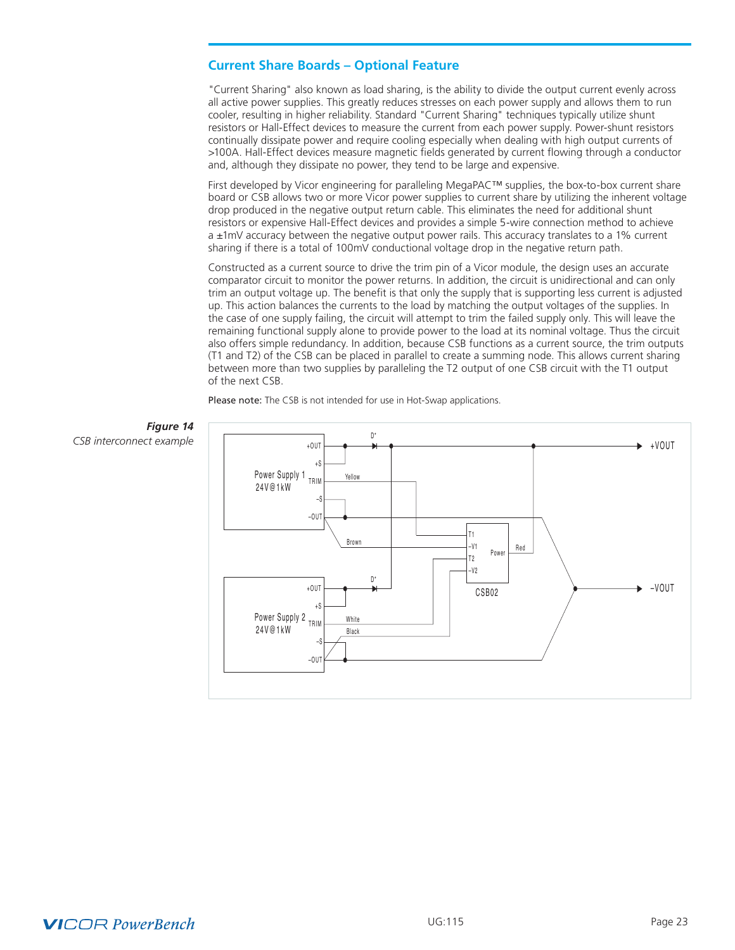# <span id="page-22-0"></span>**Current Share Boards – Optional Feature**

"Current Sharing" also known as load sharing, is the ability to divide the output current evenly across all active power supplies. This greatly reduces stresses on each power supply and allows them to run cooler, resulting in higher reliability. Standard "Current Sharing" techniques typically utilize shunt resistors or Hall-Effect devices to measure the current from each power supply. Power-shunt resistors continually dissipate power and require cooling especially when dealing with high output currents of >100A. Hall-Effect devices measure magnetic fields generated by current flowing through a conductor and, although they dissipate no power, they tend to be large and expensive.

First developed by Vicor engineering for paralleling MegaPAC™ supplies, the box-to-box current share board or CSB allows two or more Vicor power supplies to current share by utilizing the inherent voltage drop produced in the negative output return cable. This eliminates the need for additional shunt resistors or expensive Hall-Effect devices and provides a simple 5-wire connection method to achieve a ±1mV accuracy between the negative output power rails. This accuracy translates to a 1% current sharing if there is a total of 100mV conductional voltage drop in the negative return path.

Constructed as a current source to drive the trim pin of a Vicor module, the design uses an accurate comparator circuit to monitor the power returns. In addition, the circuit is unidirectional and can only trim an output voltage up. The benefit is that only the supply that is supporting less current is adjusted up. This action balances the currents to the load by matching the output voltages of the supplies. In the case of one supply failing, the circuit will attempt to trim the failed supply only. This will leave the remaining functional supply alone to provide power to the load at its nominal voltage. Thus the circuit also offers simple redundancy. In addition, because CSB functions as a current source, the trim outputs (T1 and T2) of the CSB can be placed in parallel to create a summing node. This allows current sharing between more than two supplies by paralleling the T2 output of one CSB circuit with the T1 output of the next CSB.

Please note: The CSB is not intended for use in Hot-Swap applications.



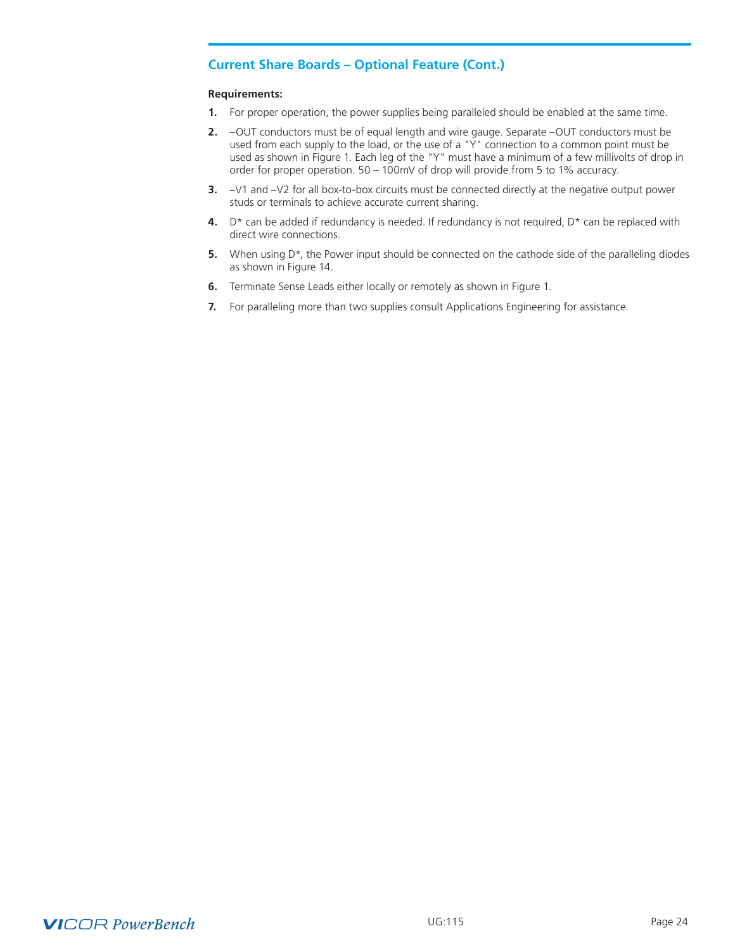# **Current Share Boards – Optional Feature (Cont.)**

#### **Requirements:**

- **1.** For proper operation, the power supplies being paralleled should be enabled at the same time.
- **2.** –OUT conductors must be of equal length and wire gauge. Separate –OUT conductors must be used from each supply to the load, or the use of a "Y" connection to a common point must be used as shown in Figure 1. Each leg of the "Y" must have a minimum of a few millivolts of drop in order for proper operation. 50 – 100mV of drop will provide from 5 to 1% accuracy.
- **3.** –V1 and –V2 for all box-to-box circuits must be connected directly at the negative output power studs or terminals to achieve accurate current sharing.
- **4.** D\* can be added if redundancy is needed. If redundancy is not required, D\* can be replaced with direct wire connections.
- **5.** When using D<sup>\*</sup>, the Power input should be connected on the cathode side of the paralleling diodes as shown in Figure 14.
- **6.** Terminate Sense Leads either locally or remotely as shown in Figure 1.
- **7.** For paralleling more than two supplies consult Applications Engineering for assistance.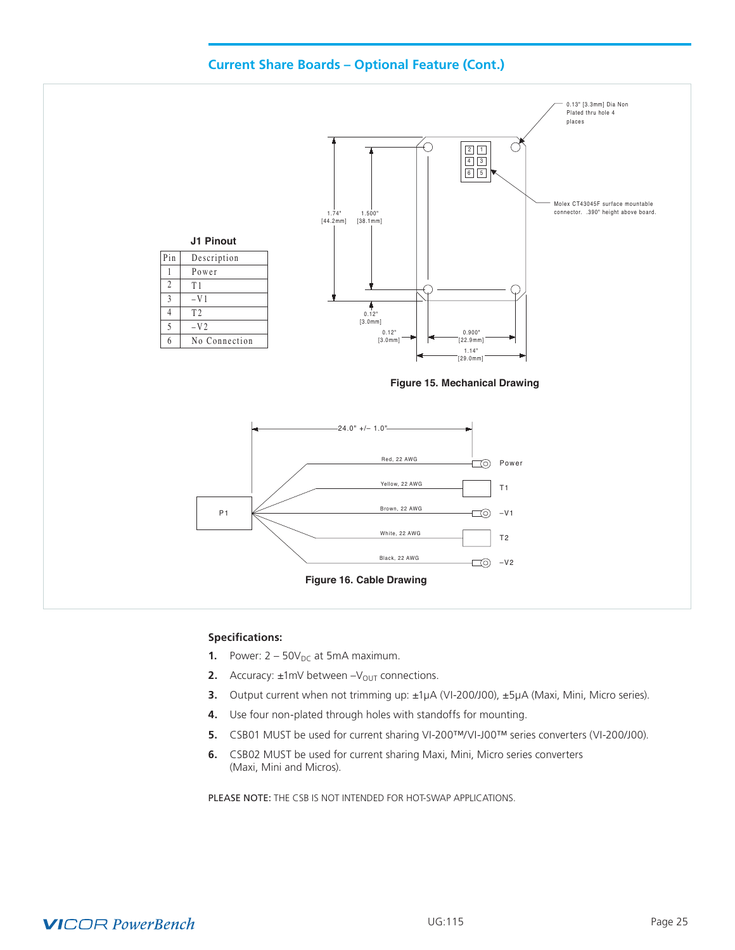

# **Specifications:**

- **1.** Power:  $2 50V_{DC}$  at 5mA maximum.
- **2.** Accuracy:  $\pm 1$ mV between  $-V_{OUT}$  connections.
- **3.** Output current when not trimming up: ±1µA (VI-200/J00), ±5µA (Maxi, Mini, Micro series).
- **4.** Use four non-plated through holes with standoffs for mounting.
- **5.** CSB01 MUST be used for current sharing VI-200™/VI-J00™ series converters (VI-200/J00).
- **6.** CSB02 MUST be used for current sharing Maxi, Mini, Micro series converters (Maxi, Mini and Micros).

PLEASE NOTE: THE CSB IS NOT INTENDED FOR HOT-SWAP APPLICATIONS.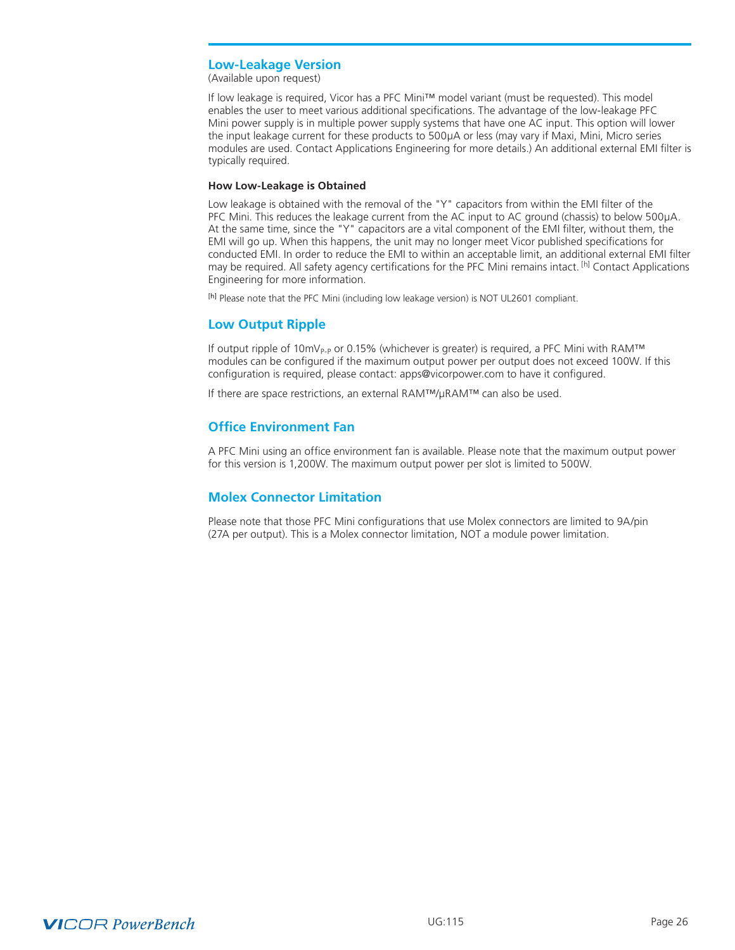# <span id="page-25-0"></span>**Low-Leakage Version**

(Available upon request)

If low leakage is required, Vicor has a PFC Mini™ model variant (must be requested). This model enables the user to meet various additional specifications. The advantage of the low-leakage PFC Mini power supply is in multiple power supply systems that have one AC input. This option will lower the input leakage current for these products to 500μA or less (may vary if Maxi, Mini, Micro series modules are used. Contact Applications Engineering for more details.) An additional external EMI filter is typically required.

#### **How Low-Leakage is Obtained**

Low leakage is obtained with the removal of the "Y" capacitors from within the EMI filter of the PFC Mini. This reduces the leakage current from the AC input to AC ground (chassis) to below 500μA. At the same time, since the "Y" capacitors are a vital component of the EMI filter, without them, the EMI will go up. When this happens, the unit may no longer meet Vicor published specifications for conducted EMI. In order to reduce the EMI to within an acceptable limit, an additional external EMI filter may be required. All safety agency certifications for the PFC Mini remains intact. <sup>[h]</sup> Contact Applications Engineering for more information.

[h] Please note that the PFC Mini (including low leakage version) is NOT UL2601 compliant.

# **Low Output Ripple**

If output ripple of 10mV<sub>P-P</sub> or 0.15% (whichever is greater) is required, a PFC Mini with RAM<sup>™</sup> modules can be configured if the maximum output power per output does not exceed 100W. If this configuration is required, please contact: [apps@vicorpower](mailto:apps%40vicorpower.com?subject=Configuration%20Required).com to have it configured.

If there are space restrictions, an external RAM™/µRAM™ can also be used.

# **Office Environment Fan**

A PFC Mini using an office environment fan is available. Please note that the maximum output power for this version is 1,200W. The maximum output power per slot is limited to 500W.

# **Molex Connector Limitation**

Please note that those PFC Mini configurations that use Molex connectors are limited to 9A/pin (27A per output). This is a Molex connector limitation, NOT a module power limitation.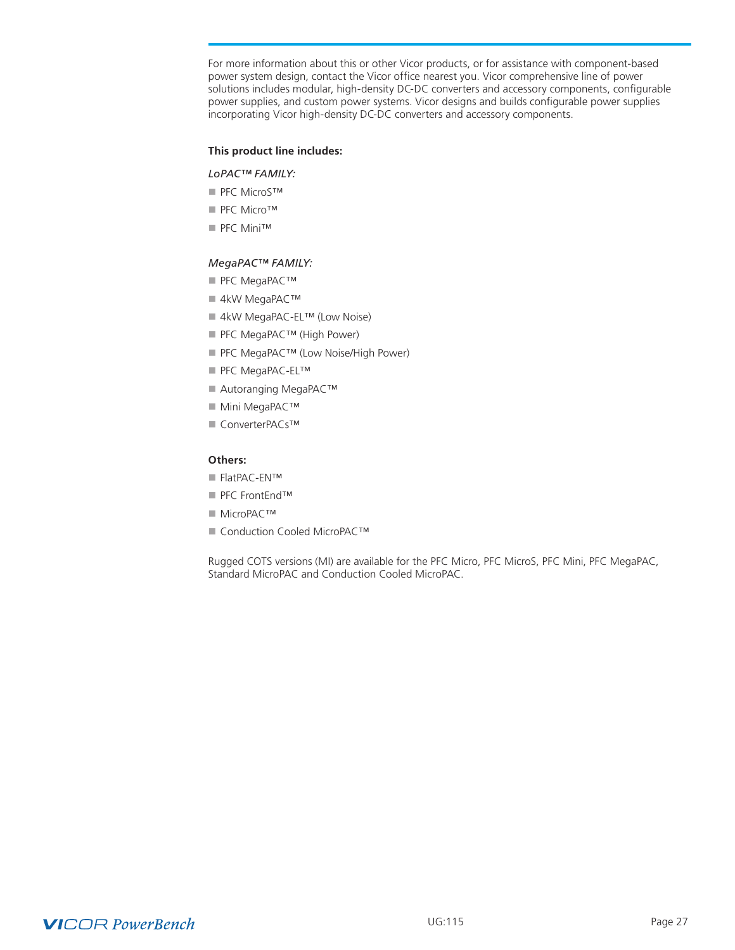For more information about this or other Vicor products, or for assistance with component-based power system design, contact the Vicor office nearest you. Vicor comprehensive line of power solutions includes modular, high-density DC-DC converters and accessory components, configurable power supplies, and custom power systems. Vicor designs and builds configurable power supplies incorporating Vicor high-density DC-DC converters and accessory components.

#### **This product line includes:**

#### *LoPAC™ FAMILY:*

- PFC MicroS™
- PFC Micro™
- PFC Mini™

### *MegaPAC™ FAMILY:*

- PFC MegaPAC™
- 4kW MegaPAC™
- 4kW MegaPAC-EL™ (Low Noise)
- PFC MegaPAC™ (High Power)
- PFC MegaPAC™ (Low Noise/High Power)
- PFC MegaPAC-EL™
- Autoranging MegaPAC™
- Mini MegaPAC™
- n ConverterPACs™

#### **Others:**

- FlatPAC-EN™
- PFC FrontEnd™
- n MicroPAC™
- Conduction Cooled MicroPAC™

Rugged COTS versions (MI) are available for the PFC Micro, PFC MicroS, PFC Mini, PFC MegaPAC, Standard MicroPAC and Conduction Cooled MicroPAC.